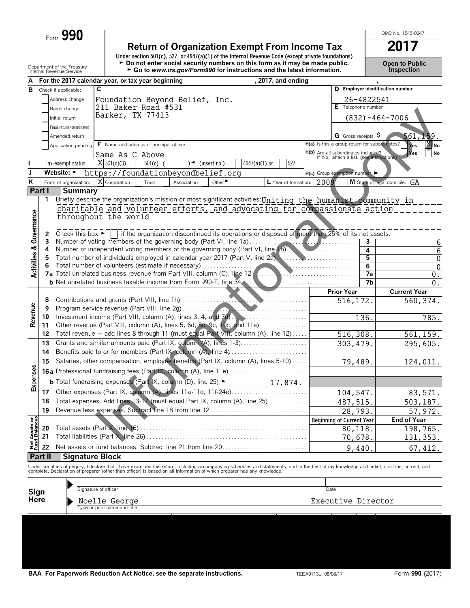Form 990

Department of the Treasury

Return of Organization Exempt From Income Tax<br>Under section 501(c), 527, or 4947(a)(1) of the Internal Revenue Code (except private foundations)<br>
Do not enter social security numbers on this form as it may be made public.<br>

**Open to Public<br>Inspection** 

OMB No. 1545-0047

201 7

| А                                      |         |                         | For the 2017 calendar year, or tax year beginning<br>, 2017, and ending                                                                                                                                                           |                                                                                   |            |                                  |
|----------------------------------------|---------|-------------------------|-----------------------------------------------------------------------------------------------------------------------------------------------------------------------------------------------------------------------------------|-----------------------------------------------------------------------------------|------------|----------------------------------|
| В                                      |         | Check if applicable:    | C                                                                                                                                                                                                                                 |                                                                                   |            | D Employer identification number |
|                                        |         | Address change          | Foundation Beyond Belief, Inc.                                                                                                                                                                                                    |                                                                                   | 26-4822541 |                                  |
|                                        |         | Name change             | 211 Baker Road #531                                                                                                                                                                                                               | E Telephone number                                                                |            |                                  |
|                                        |         | Initial return          | Barker, TX 77413                                                                                                                                                                                                                  |                                                                                   |            | $(832) - 464 - 7006$             |
|                                        |         | Final return/terminated |                                                                                                                                                                                                                                   |                                                                                   |            |                                  |
|                                        |         |                         |                                                                                                                                                                                                                                   | G Gross receipts S                                                                |            |                                  |
|                                        |         | Amended return          |                                                                                                                                                                                                                                   | H(a) Is this a group return for subordinates?                                     |            | 561, 159.                        |
|                                        |         | Application pending     | F Name and address of principal officer:                                                                                                                                                                                          |                                                                                   |            | <b>X</b> No<br>Yes               |
|                                        |         |                         | Same As C Above                                                                                                                                                                                                                   | H(b) Are all subordinates included?<br>If 'No,' attach a list. (see instructions) |            | <b>No</b><br><b>Yes</b>          |
|                                        |         | Tax-exempt status       | $X$ 501(c)(3)<br>4947(a)(1) or<br>$501(c)$ (<br>$\rightarrow$ (insert no.)<br>527                                                                                                                                                 |                                                                                   |            |                                  |
| J                                      |         |                         | Website: https://foundationbeyondbelief.org                                                                                                                                                                                       | H(c) Group exemption number                                                       |            |                                  |
| ĸ                                      |         | Form of organization:   | X Corporation<br>Other $\blacktriangleright$<br>L Year of formation: 2009<br>Trust<br>Association                                                                                                                                 |                                                                                   |            | M State of legal domicile: GA    |
|                                        | Part I  | <b>Summary</b>          |                                                                                                                                                                                                                                   |                                                                                   |            |                                  |
|                                        | 1       |                         | Briefly describe the organization's mission or most significant activities: Uniting the humanist community in                                                                                                                     |                                                                                   |            |                                  |
|                                        |         |                         |                                                                                                                                                                                                                                   |                                                                                   |            |                                  |
|                                        |         |                         | charitable and volunteer efforts, and advocating for compassionate action                                                                                                                                                         |                                                                                   |            |                                  |
|                                        |         |                         | throughout the world                                                                                                                                                                                                              |                                                                                   |            |                                  |
| <b>Activities &amp; Governance</b>     |         |                         |                                                                                                                                                                                                                                   |                                                                                   |            |                                  |
|                                        | 2       |                         | Check this box $\blacktriangleright$   if the organization discontinued its operations or disposed of more than 25% of its net assets.                                                                                            |                                                                                   |            |                                  |
|                                        | 3       |                         |                                                                                                                                                                                                                                   |                                                                                   | 3          | 6                                |
|                                        | 4       |                         | Number of independent voting members of the governing body (Part VI, line 1b).                                                                                                                                                    |                                                                                   | 4          | $\overline{6}$                   |
|                                        | 5       |                         | Total number of individuals employed in calendar year 2017 (Part V, line 2a),                                                                                                                                                     |                                                                                   | 5          | 0                                |
|                                        |         |                         | Total number of volunteers (estimate if necessary)                                                                                                                                                                                |                                                                                   | 6          | $\mathbf{0}$                     |
|                                        |         |                         | 7a Total unrelated business revenue from Part VIII, column (C), line 12.                                                                                                                                                          |                                                                                   | 7a         | 0.                               |
|                                        |         |                         | <b>b</b> Net unrelated business taxable income from Form 990-T, line 34.                                                                                                                                                          |                                                                                   | 7b         | 0.                               |
|                                        |         |                         |                                                                                                                                                                                                                                   | <b>Prior Year</b>                                                                 |            | <b>Current Year</b>              |
|                                        | 8       |                         |                                                                                                                                                                                                                                   | 516, 172.                                                                         |            | 560, 374.                        |
| Revenue                                | 9       |                         | <b>Louisian Strategie</b>                                                                                                                                                                                                         |                                                                                   |            |                                  |
|                                        | 10      |                         | Investment income (Part VIII, column (A), lines 3, 4, and 7d).<br>.                                                                                                                                                               |                                                                                   | 136.       | 785.                             |
|                                        | 11      |                         | Other revenue (Part VIII, column (A), lines 5, 6d, 8c, 9c, 10c, and 11e)                                                                                                                                                          |                                                                                   |            |                                  |
|                                        | 12      |                         | Total revenue - add lines 8 through 11 (must equal Part VIII, column (A), line 12)                                                                                                                                                | 516,308.                                                                          |            | 561, 159.                        |
|                                        | 13      |                         |                                                                                                                                                                                                                                   | 303, 479.                                                                         |            | 295,605.                         |
|                                        | 14      |                         | Benefits paid to or for members (Part IX, column (A), line 4)                                                                                                                                                                     |                                                                                   |            |                                  |
|                                        |         |                         |                                                                                                                                                                                                                                   |                                                                                   |            |                                  |
|                                        | 15      |                         | Salaries, other compensation, employee benefits (Part IX, column (A), lines 5-10)                                                                                                                                                 | 79,489.                                                                           |            | 124,011.                         |
| Expenses                               |         |                         | 16a Professional fundraising fees (Part IX, column (A), line 11e)                                                                                                                                                                 |                                                                                   |            |                                  |
|                                        |         |                         | <b>b</b> Total fundraising expenses (Part $X$ , column (D), line 25) $\blacktriangleright$<br>17,874.                                                                                                                             |                                                                                   |            |                                  |
|                                        | 17      |                         |                                                                                                                                                                                                                                   | 104,547.                                                                          |            | 83,571.                          |
|                                        | 18      |                         | Total expenses. Add lines 13-17 (must equal Part IX, column (A), line 25)                                                                                                                                                         |                                                                                   |            |                                  |
|                                        |         |                         |                                                                                                                                                                                                                                   | 487,515.                                                                          |            | 503,187.                         |
|                                        | 19      |                         | Revenue less expenses. Subtract line 18 from line 12                                                                                                                                                                              | 28,793                                                                            |            | 57,972.                          |
| <b>Net Assets or<br/>Fund Balances</b> |         |                         |                                                                                                                                                                                                                                   | <b>Beginning of Current Year</b>                                                  |            | <b>End of Year</b>               |
|                                        | 20      |                         | Total assets (Part X, line 16).                                                                                                                                                                                                   | 80,118                                                                            |            | 198,765.                         |
|                                        | 21      |                         | Total liabilities (Part X, line 26).                                                                                                                                                                                              | 70,678.                                                                           |            | $\frac{131}{353}$ .              |
|                                        | 22      |                         | Net assets or fund balances. Subtract line 21 from line 20                                                                                                                                                                        | 9,440                                                                             |            | 67,412.                          |
|                                        | Part II | <b>Signature Block</b>  |                                                                                                                                                                                                                                   |                                                                                   |            |                                  |
|                                        |         |                         |                                                                                                                                                                                                                                   |                                                                                   |            |                                  |
|                                        |         |                         | Under penalties of perjury, I declare that I have examined this return, including accompanying schedules and statements, and to the best of my knowledge and belief, it is true, correct, and<br>complete. Declaration of prepare |                                                                                   |            |                                  |
|                                        |         |                         |                                                                                                                                                                                                                                   |                                                                                   |            |                                  |
|                                        |         |                         | Signature of officer                                                                                                                                                                                                              | Date                                                                              |            |                                  |
| Sign<br>Here                           |         |                         |                                                                                                                                                                                                                                   |                                                                                   |            |                                  |
|                                        |         |                         | Noelle George                                                                                                                                                                                                                     | Executive Director                                                                |            |                                  |
|                                        |         |                         | Type or print name and title                                                                                                                                                                                                      |                                                                                   |            |                                  |
|                                        |         |                         |                                                                                                                                                                                                                                   |                                                                                   |            |                                  |
|                                        |         |                         |                                                                                                                                                                                                                                   |                                                                                   |            |                                  |
|                                        |         |                         |                                                                                                                                                                                                                                   |                                                                                   |            |                                  |
|                                        |         |                         |                                                                                                                                                                                                                                   |                                                                                   |            |                                  |
|                                        |         |                         |                                                                                                                                                                                                                                   |                                                                                   |            |                                  |
|                                        |         |                         |                                                                                                                                                                                                                                   |                                                                                   |            |                                  |
|                                        |         |                         |                                                                                                                                                                                                                                   |                                                                                   |            |                                  |

BAA For Paperwork Reduction Act Notice, see the separate instructions.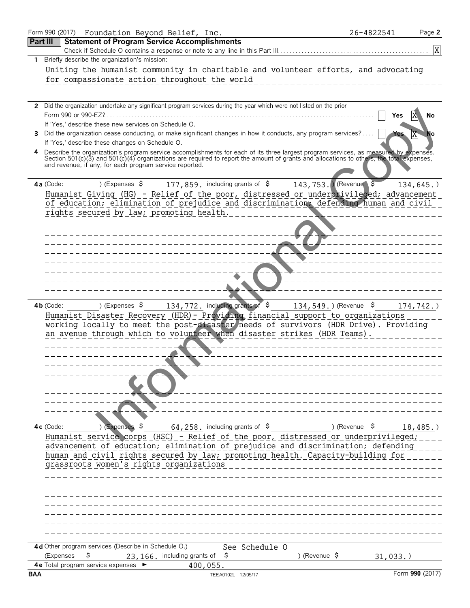|            | Form 990 (2017) Foundation Beyond Belief, Inc.                                                                                                                                                                                                                                   | 26-4822541         | Page 2          |
|------------|----------------------------------------------------------------------------------------------------------------------------------------------------------------------------------------------------------------------------------------------------------------------------------|--------------------|-----------------|
|            | <b>Statement of Program Service Accomplishments</b><br><b>Part III</b>                                                                                                                                                                                                           |                    |                 |
|            | Check if Schedule O contains a response or note to any line in this Part III                                                                                                                                                                                                     |                    | X               |
| 1.         | Briefly describe the organization's mission:                                                                                                                                                                                                                                     |                    |                 |
|            | Uniting the humanist community in charitable and volunteer efforts, and advocating                                                                                                                                                                                               |                    |                 |
|            | for compassionate action throughout the world                                                                                                                                                                                                                                    |                    |                 |
|            |                                                                                                                                                                                                                                                                                  |                    |                 |
|            | 2 Did the organization undertake any significant program services during the year which were not listed on the prior                                                                                                                                                             |                    |                 |
|            | Form 990 or 990-EZ?                                                                                                                                                                                                                                                              | Yes                | No              |
|            | If 'Yes,' describe these new services on Schedule O.                                                                                                                                                                                                                             |                    |                 |
|            | 3 Did the organization cease conducting, or make significant changes in how it conducts, any program services?                                                                                                                                                                   |                    | No              |
|            | If 'Yes,' describe these changes on Schedule O.                                                                                                                                                                                                                                  |                    |                 |
| 4          | Describe the organization's program service accomplishments for each of its three largest program services, as measured by expenses.<br>Section 501(c)(3) and 501(c)(4) organizations are required to report the amount of grants and allocations to others, the total expenses, |                    |                 |
|            | and revenue, if any, for each program service reported.                                                                                                                                                                                                                          |                    |                 |
|            |                                                                                                                                                                                                                                                                                  |                    |                 |
|            | 143, 753. Revenue \$<br>4a (Code:<br>) (Expenses $\frac{177}{192}$ , 859, including grants of $\frac{12}{7}$                                                                                                                                                                     |                    | $134, 645.$ )   |
|            | Humanist Giving (HG) - Relief of the poor, distressed or underprivileged; advancement                                                                                                                                                                                            |                    |                 |
|            | of education; elimination of prejudice and discrimination; defending human and civil                                                                                                                                                                                             |                    |                 |
|            | rights secured by law; promoting health.                                                                                                                                                                                                                                         |                    |                 |
|            |                                                                                                                                                                                                                                                                                  |                    |                 |
|            |                                                                                                                                                                                                                                                                                  |                    |                 |
|            |                                                                                                                                                                                                                                                                                  |                    |                 |
|            |                                                                                                                                                                                                                                                                                  |                    |                 |
|            |                                                                                                                                                                                                                                                                                  |                    |                 |
|            |                                                                                                                                                                                                                                                                                  |                    |                 |
|            |                                                                                                                                                                                                                                                                                  |                    |                 |
|            | ) (Expenses $\frac{134,772}$ , including grants of $\frac{134,549}{}$ , (Revenue $\frac{134,549}{}$<br>$4b$ (Code:                                                                                                                                                               |                    |                 |
|            | Humanist Disaster Recovery (HDR) - Providing financial support to organizations                                                                                                                                                                                                  |                    | $174, 742.$ )   |
|            | working locally to meet the post-disaster needs of survivors (HDR Drive). Providing                                                                                                                                                                                              |                    |                 |
|            | an avenue through which to volunteer when disaster strikes (HDR Teams).                                                                                                                                                                                                          |                    |                 |
|            |                                                                                                                                                                                                                                                                                  |                    |                 |
|            |                                                                                                                                                                                                                                                                                  |                    |                 |
|            |                                                                                                                                                                                                                                                                                  |                    |                 |
|            |                                                                                                                                                                                                                                                                                  |                    |                 |
|            |                                                                                                                                                                                                                                                                                  |                    |                 |
|            |                                                                                                                                                                                                                                                                                  |                    |                 |
|            |                                                                                                                                                                                                                                                                                  |                    |                 |
|            |                                                                                                                                                                                                                                                                                  |                    |                 |
|            | $64, 258$ . including grants of \$<br>4c (Code:<br>$\sqrt{Expenses}$ \$                                                                                                                                                                                                          | ) (Revenue $\,$ \$ | $18,485.$ )     |
|            | Humanist service corps (HSC) - Relief of the poor, distressed or underprivileged;                                                                                                                                                                                                |                    |                 |
|            | advancement of education; elimination of prejudice and discrimination; defending                                                                                                                                                                                                 |                    |                 |
|            | human and civil rights secured by law; promoting health. Capacity-building for                                                                                                                                                                                                   |                    |                 |
|            | grassroots women's rights organizations                                                                                                                                                                                                                                          |                    |                 |
|            |                                                                                                                                                                                                                                                                                  |                    |                 |
|            |                                                                                                                                                                                                                                                                                  |                    |                 |
|            |                                                                                                                                                                                                                                                                                  |                    |                 |
|            |                                                                                                                                                                                                                                                                                  |                    |                 |
|            |                                                                                                                                                                                                                                                                                  |                    |                 |
|            |                                                                                                                                                                                                                                                                                  |                    |                 |
|            |                                                                                                                                                                                                                                                                                  |                    |                 |
|            | 4d Other program services (Describe in Schedule O.)<br>See Schedule O                                                                                                                                                                                                            |                    |                 |
|            | (Expenses<br>S<br>23, 166. including grants of<br>) (Revenue $\frac{1}{2}$<br>S                                                                                                                                                                                                  | 31,033.            |                 |
|            | 4e Total program service expenses<br>400,055.                                                                                                                                                                                                                                    |                    |                 |
| <b>BAA</b> | TEEA0102L 12/05/17                                                                                                                                                                                                                                                               |                    | Form 990 (2017) |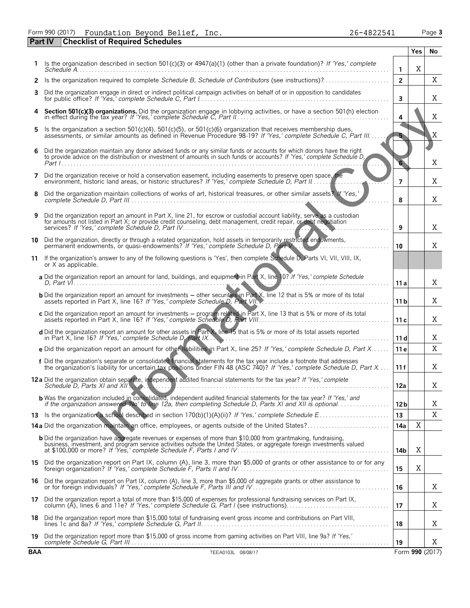Form 990 (2017) Foundation Beyond Belief, Inc.<br>Part IV Checklist of Required Schedules

|            |                                                                                                                                                                                                                                                     |                 | Yes             | No |
|------------|-----------------------------------------------------------------------------------------------------------------------------------------------------------------------------------------------------------------------------------------------------|-----------------|-----------------|----|
| 1.         | Is the organization described in section 501(c)(3) or 4947(a)(1) (other than a private foundation)? If 'Yes,' complete                                                                                                                              | $\mathbf{1}$    | X               |    |
| 2          | Is the organization required to complete Schedule B, Schedule of Contributors (see instructions)?                                                                                                                                                   | $\overline{2}$  |                 | X  |
| 3          | Did the organization engage in direct or indirect political campaign activities on behalf of or in opposition to candidates                                                                                                                         | 3               |                 | Χ  |
| 4          | Section 501(c)(3) organizations. Did the organization engage in lobbying activities, or have a section 501(h) election                                                                                                                              | 4               |                 | Χ  |
| 5          | Is the organization a section 501(c)(4), 501(c)(5), or 501(c)(6) organization that receives membership dues,<br>assessments, or similar amounts as defined in Revenue Procedure 98-19? If 'Yes,' complete Schedule C, Part III                      |                 |                 | X  |
| 6          | Did the organization maintain any donor advised funds or any similar funds or accounts for which donors have the right<br>to provide advice on the distribution or investment of amounts in such funds or accounts? If 'Yes,' complete Schedule D,  |                 |                 | Χ  |
| 7          | Did the organization receive or hold a conservation easement, including easements to preserve open space, the<br>environment, historic land areas, or historic structures? If 'Yes,' complete Schedule D, Part II                                   | 7               |                 | Χ  |
| 8          | Did the organization maintain collections of works of art, historical treasures, or other similar assets? If 'Yes,'                                                                                                                                 | 8               |                 | Χ  |
| 9          | Did the organization report an amount in Part X, line 21, for escrow or custodial account liability, serve as a custodian<br>for amounts not listed in Part X; or provide credit counseling, debt management, credit repair, or debt negotiation    | 9               |                 | Χ  |
|            | 10 Did the organization, directly or through a related organization, hold assets in temporarily restricted endowments,<br>permanent endowments, or quasi-endowments? If 'Yes,' complete Schedule D, Part V.                                         | 10              |                 | Χ  |
|            | 11 If the organization's answer to any of the following questions is 'Yes', then complete Schedule D, Parts VI, VII, VIII, IX,<br>or X as applicable.                                                                                               |                 |                 |    |
|            | a Did the organization report an amount for land, buildings, and equipment in Part X, line 10? If 'Yes,' complete Schedule                                                                                                                          | 11 a            |                 | Χ  |
|            | <b>b</b> Did the organization report an amount for investments – other securities in Part X, line 12 that is 5% or more of its total                                                                                                                | 11 <sub>b</sub> |                 | Χ  |
|            | c Did the organization report an amount for investments - program related in Part X, line 13 that is 5% or more of its total                                                                                                                        | 11c             |                 | Χ  |
|            | d Did the organization report an amount for other assets in Part X, line 15 that is 5% or more of its total assets reported                                                                                                                         | 11d             |                 | Χ  |
|            | e Did the organization report an amount for other liabilities in Part X, line 25? If 'Yes,' complete Schedule D, Part X                                                                                                                             | 11 e            |                 | Χ  |
|            | f Did the organization's separate or consolidated financial statements for the tax year include a footnote that addresses<br>the organization's liability for uncertain tax positions under FIN 48 (ASC 740)? If 'Yes,' complete Schedule D, Part X | 11f             |                 | X  |
|            | 12 a Did the organization obtain separate, independent audited financial statements for the tax year? If 'Yes,' complete                                                                                                                            | 12a             |                 | Χ  |
|            | <b>b</b> Was the organization included in consolidated, independent audited financial statements for the tax year? If 'Yes,' and<br>if the organization answered 'No' to line 12a, then completing Schedule D, Parts XI and XII is optional         | 12 <sub>b</sub> |                 | Χ  |
|            |                                                                                                                                                                                                                                                     | 13              |                 | X  |
|            | 14a Did the organization maintain an office, employees, or agents outside of the United States?                                                                                                                                                     | 14a             | X               |    |
|            | <b>b</b> Did the organization have aggregate revenues or expenses of more than \$10,000 from grantmaking, fundraising,<br>business, investment, and program service activities outside the United States, or aggregate foreign investments valued   | 14b             | Χ               |    |
|            | 15 Did the organization report on Part IX, column (A), line 3, more than \$5,000 of grants or other assistance to or for any                                                                                                                        | 15              | X               |    |
|            | 16 Did the organization report on Part IX, column (A), line 3, more than \$5,000 of aggregate grants or other assistance to<br>or for foreign individuals? If 'Yes,' complete Schedule F, Parts III and IV                                          | 16              |                 | Χ  |
|            | 17 Did the organization report a total of more than \$15,000 of expenses for professional fundraising services on Part IX, column (A), lines 6 and 11e? If 'Yes,' complete Schedule G, Part I (see instructions)                                    | 17              |                 | Χ  |
|            | 18 Did the organization report more than \$15,000 total of fundraising event gross income and contributions on Part VIII,                                                                                                                           | 18              |                 | Χ  |
|            | 19 Did the organization report more than \$15,000 of gross income from gaming activities on Part VIII, line 9a? If 'Yes,'                                                                                                                           | 19              |                 | Χ  |
| <b>BAA</b> | TEEA0103L 08/08/17                                                                                                                                                                                                                                  |                 | Form 990 (2017) |    |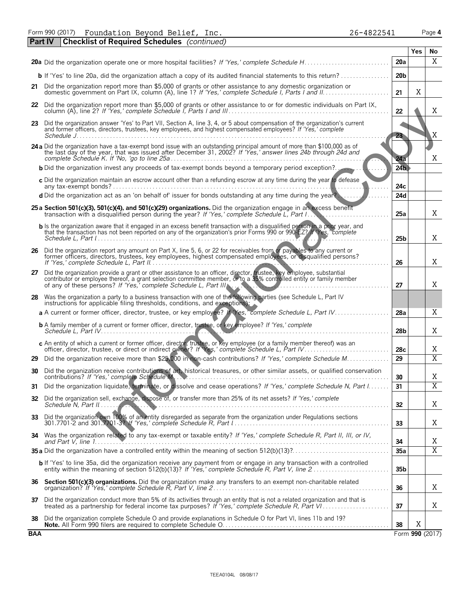| 26-4822541 | Page 4 |
|------------|--------|
|------------|--------|

| <b>Part IV Checklist of Required Schedules</b> (continued)<br><b>Yes</b><br>20a<br><b>b</b> If 'Yes' to line 20a, did the organization attach a copy of its audited financial statements to this return?<br>20 <sub>b</sub><br>21 Did the organization report more than \$5,000 of grants or other assistance to any domestic organization or<br>X<br>21<br>22 Did the organization report more than \$5,000 of grants or other assistance to or for domestic individuals on Part IX,<br>22<br>23 Did the organization answer 'Yes' to Part VII, Section A, line 3, 4, or 5 about compensation of the organization's current<br>and former officers, directors, trustees, key employees, and highest compensated employees? If 'Yes,' complete<br>23<br>24 a Did the organization have a tax-exempt bond issue with an outstanding principal amount of more than \$100,000 as of<br>the last day of the year, that was issued after December 31, 2002? If 'Yes,' answer lines 24b through 24d and<br>24a<br>24 <sub>b</sub><br><b>b</b> Did the organization invest any proceeds of tax-exempt bonds beyond a temporary period exception?.<br>c Did the organization maintain an escrow account other than a refunding escrow at any time during the year to defease<br>24c<br><b>d</b> Did the organization act as an 'on behalf of' issuer for bonds outstanding at any time during the year?<br>24d<br>25 a Section 501(c)(3), 501(c)(4), and 501(c)(29) organizations. Did the organization engage in an excess benefit<br>transaction with a disqualified person during the year? If 'Yes,' complete Schedule L, Part I<br>25a<br>b Is the organization aware that it engaged in an excess benefit transaction with a disqualified person in a prior year, and<br>that the transaction has not been reported on any of the organization's prior Forms 990 or 990-EZ? In Yes, 'complete<br>25 <sub>b</sub><br>26 Did the organization report any amount on Part X, line 5, 6, or 22 for receivables from or payables to any current or former officers, directors, trustees, key employees, highest compensated employees, or disqualified p<br>26<br>27 Did the organization provide a grant or other assistance to an officer, director, trustee, key employee, substantial<br>contributor or employee thereof, a grant selection committee member, or to a 35% controlled entity or family member<br>of any of these persons? If 'Yes,' complete Schedule L, Part III.<br>27<br>28 Was the organization a party to a business transaction with one of the following parties (see Schedule L, Part IV<br>instructions for applicable filing thresholds, conditions, and exceptions):<br>a A current or former officer, director, trustee, or key employee? If Yes, complete Schedule L, Part IV<br>28a<br><b>b</b> A family member of a current or former officer, director, trustee, or key employee? If 'Yes,' complete<br>28 <sub>b</sub> | No.<br>X<br>X<br>X<br>X<br>Χ |
|----------------------------------------------------------------------------------------------------------------------------------------------------------------------------------------------------------------------------------------------------------------------------------------------------------------------------------------------------------------------------------------------------------------------------------------------------------------------------------------------------------------------------------------------------------------------------------------------------------------------------------------------------------------------------------------------------------------------------------------------------------------------------------------------------------------------------------------------------------------------------------------------------------------------------------------------------------------------------------------------------------------------------------------------------------------------------------------------------------------------------------------------------------------------------------------------------------------------------------------------------------------------------------------------------------------------------------------------------------------------------------------------------------------------------------------------------------------------------------------------------------------------------------------------------------------------------------------------------------------------------------------------------------------------------------------------------------------------------------------------------------------------------------------------------------------------------------------------------------------------------------------------------------------------------------------------------------------------------------------------------------------------------------------------------------------------------------------------------------------------------------------------------------------------------------------------------------------------------------------------------------------------------------------------------------------------------------------------------------------------------------------------------------------------------------------------------------------------------------------------------------------------------------------------------------------------------------------------------------------------------------------------------------------------------------------------------------------------------------------------------------------------------------------------------------------------------------------------------------------------------------------------------------------------------------------------------|------------------------------|
|                                                                                                                                                                                                                                                                                                                                                                                                                                                                                                                                                                                                                                                                                                                                                                                                                                                                                                                                                                                                                                                                                                                                                                                                                                                                                                                                                                                                                                                                                                                                                                                                                                                                                                                                                                                                                                                                                                                                                                                                                                                                                                                                                                                                                                                                                                                                                                                                                                                                                                                                                                                                                                                                                                                                                                                                                                                                                                                                                    |                              |
|                                                                                                                                                                                                                                                                                                                                                                                                                                                                                                                                                                                                                                                                                                                                                                                                                                                                                                                                                                                                                                                                                                                                                                                                                                                                                                                                                                                                                                                                                                                                                                                                                                                                                                                                                                                                                                                                                                                                                                                                                                                                                                                                                                                                                                                                                                                                                                                                                                                                                                                                                                                                                                                                                                                                                                                                                                                                                                                                                    |                              |
|                                                                                                                                                                                                                                                                                                                                                                                                                                                                                                                                                                                                                                                                                                                                                                                                                                                                                                                                                                                                                                                                                                                                                                                                                                                                                                                                                                                                                                                                                                                                                                                                                                                                                                                                                                                                                                                                                                                                                                                                                                                                                                                                                                                                                                                                                                                                                                                                                                                                                                                                                                                                                                                                                                                                                                                                                                                                                                                                                    |                              |
|                                                                                                                                                                                                                                                                                                                                                                                                                                                                                                                                                                                                                                                                                                                                                                                                                                                                                                                                                                                                                                                                                                                                                                                                                                                                                                                                                                                                                                                                                                                                                                                                                                                                                                                                                                                                                                                                                                                                                                                                                                                                                                                                                                                                                                                                                                                                                                                                                                                                                                                                                                                                                                                                                                                                                                                                                                                                                                                                                    |                              |
|                                                                                                                                                                                                                                                                                                                                                                                                                                                                                                                                                                                                                                                                                                                                                                                                                                                                                                                                                                                                                                                                                                                                                                                                                                                                                                                                                                                                                                                                                                                                                                                                                                                                                                                                                                                                                                                                                                                                                                                                                                                                                                                                                                                                                                                                                                                                                                                                                                                                                                                                                                                                                                                                                                                                                                                                                                                                                                                                                    |                              |
|                                                                                                                                                                                                                                                                                                                                                                                                                                                                                                                                                                                                                                                                                                                                                                                                                                                                                                                                                                                                                                                                                                                                                                                                                                                                                                                                                                                                                                                                                                                                                                                                                                                                                                                                                                                                                                                                                                                                                                                                                                                                                                                                                                                                                                                                                                                                                                                                                                                                                                                                                                                                                                                                                                                                                                                                                                                                                                                                                    |                              |
|                                                                                                                                                                                                                                                                                                                                                                                                                                                                                                                                                                                                                                                                                                                                                                                                                                                                                                                                                                                                                                                                                                                                                                                                                                                                                                                                                                                                                                                                                                                                                                                                                                                                                                                                                                                                                                                                                                                                                                                                                                                                                                                                                                                                                                                                                                                                                                                                                                                                                                                                                                                                                                                                                                                                                                                                                                                                                                                                                    |                              |
|                                                                                                                                                                                                                                                                                                                                                                                                                                                                                                                                                                                                                                                                                                                                                                                                                                                                                                                                                                                                                                                                                                                                                                                                                                                                                                                                                                                                                                                                                                                                                                                                                                                                                                                                                                                                                                                                                                                                                                                                                                                                                                                                                                                                                                                                                                                                                                                                                                                                                                                                                                                                                                                                                                                                                                                                                                                                                                                                                    |                              |
|                                                                                                                                                                                                                                                                                                                                                                                                                                                                                                                                                                                                                                                                                                                                                                                                                                                                                                                                                                                                                                                                                                                                                                                                                                                                                                                                                                                                                                                                                                                                                                                                                                                                                                                                                                                                                                                                                                                                                                                                                                                                                                                                                                                                                                                                                                                                                                                                                                                                                                                                                                                                                                                                                                                                                                                                                                                                                                                                                    |                              |
|                                                                                                                                                                                                                                                                                                                                                                                                                                                                                                                                                                                                                                                                                                                                                                                                                                                                                                                                                                                                                                                                                                                                                                                                                                                                                                                                                                                                                                                                                                                                                                                                                                                                                                                                                                                                                                                                                                                                                                                                                                                                                                                                                                                                                                                                                                                                                                                                                                                                                                                                                                                                                                                                                                                                                                                                                                                                                                                                                    |                              |
|                                                                                                                                                                                                                                                                                                                                                                                                                                                                                                                                                                                                                                                                                                                                                                                                                                                                                                                                                                                                                                                                                                                                                                                                                                                                                                                                                                                                                                                                                                                                                                                                                                                                                                                                                                                                                                                                                                                                                                                                                                                                                                                                                                                                                                                                                                                                                                                                                                                                                                                                                                                                                                                                                                                                                                                                                                                                                                                                                    |                              |
|                                                                                                                                                                                                                                                                                                                                                                                                                                                                                                                                                                                                                                                                                                                                                                                                                                                                                                                                                                                                                                                                                                                                                                                                                                                                                                                                                                                                                                                                                                                                                                                                                                                                                                                                                                                                                                                                                                                                                                                                                                                                                                                                                                                                                                                                                                                                                                                                                                                                                                                                                                                                                                                                                                                                                                                                                                                                                                                                                    |                              |
|                                                                                                                                                                                                                                                                                                                                                                                                                                                                                                                                                                                                                                                                                                                                                                                                                                                                                                                                                                                                                                                                                                                                                                                                                                                                                                                                                                                                                                                                                                                                                                                                                                                                                                                                                                                                                                                                                                                                                                                                                                                                                                                                                                                                                                                                                                                                                                                                                                                                                                                                                                                                                                                                                                                                                                                                                                                                                                                                                    | X                            |
|                                                                                                                                                                                                                                                                                                                                                                                                                                                                                                                                                                                                                                                                                                                                                                                                                                                                                                                                                                                                                                                                                                                                                                                                                                                                                                                                                                                                                                                                                                                                                                                                                                                                                                                                                                                                                                                                                                                                                                                                                                                                                                                                                                                                                                                                                                                                                                                                                                                                                                                                                                                                                                                                                                                                                                                                                                                                                                                                                    | Χ                            |
|                                                                                                                                                                                                                                                                                                                                                                                                                                                                                                                                                                                                                                                                                                                                                                                                                                                                                                                                                                                                                                                                                                                                                                                                                                                                                                                                                                                                                                                                                                                                                                                                                                                                                                                                                                                                                                                                                                                                                                                                                                                                                                                                                                                                                                                                                                                                                                                                                                                                                                                                                                                                                                                                                                                                                                                                                                                                                                                                                    | X                            |
|                                                                                                                                                                                                                                                                                                                                                                                                                                                                                                                                                                                                                                                                                                                                                                                                                                                                                                                                                                                                                                                                                                                                                                                                                                                                                                                                                                                                                                                                                                                                                                                                                                                                                                                                                                                                                                                                                                                                                                                                                                                                                                                                                                                                                                                                                                                                                                                                                                                                                                                                                                                                                                                                                                                                                                                                                                                                                                                                                    |                              |
|                                                                                                                                                                                                                                                                                                                                                                                                                                                                                                                                                                                                                                                                                                                                                                                                                                                                                                                                                                                                                                                                                                                                                                                                                                                                                                                                                                                                                                                                                                                                                                                                                                                                                                                                                                                                                                                                                                                                                                                                                                                                                                                                                                                                                                                                                                                                                                                                                                                                                                                                                                                                                                                                                                                                                                                                                                                                                                                                                    | X                            |
|                                                                                                                                                                                                                                                                                                                                                                                                                                                                                                                                                                                                                                                                                                                                                                                                                                                                                                                                                                                                                                                                                                                                                                                                                                                                                                                                                                                                                                                                                                                                                                                                                                                                                                                                                                                                                                                                                                                                                                                                                                                                                                                                                                                                                                                                                                                                                                                                                                                                                                                                                                                                                                                                                                                                                                                                                                                                                                                                                    | Χ                            |
| c An entity of which a current or former officer, director, trustee, or key employee (or a family member thereof) was an<br>officer, director, trustee, or direct or indirect owner? If Yes,' complete Schedule L, Part IV.<br>28c                                                                                                                                                                                                                                                                                                                                                                                                                                                                                                                                                                                                                                                                                                                                                                                                                                                                                                                                                                                                                                                                                                                                                                                                                                                                                                                                                                                                                                                                                                                                                                                                                                                                                                                                                                                                                                                                                                                                                                                                                                                                                                                                                                                                                                                                                                                                                                                                                                                                                                                                                                                                                                                                                                                 | Χ                            |
| $\overline{29}$<br>29 Did the organization receive more than \$25,000 in non-cash contributions? If 'Yes,' complete Schedule M                                                                                                                                                                                                                                                                                                                                                                                                                                                                                                                                                                                                                                                                                                                                                                                                                                                                                                                                                                                                                                                                                                                                                                                                                                                                                                                                                                                                                                                                                                                                                                                                                                                                                                                                                                                                                                                                                                                                                                                                                                                                                                                                                                                                                                                                                                                                                                                                                                                                                                                                                                                                                                                                                                                                                                                                                     | $\overline{X}$               |
| 30 Did the organization receive contributions of art, historical treasures, or other similar assets, or qualified conservation<br>30                                                                                                                                                                                                                                                                                                                                                                                                                                                                                                                                                                                                                                                                                                                                                                                                                                                                                                                                                                                                                                                                                                                                                                                                                                                                                                                                                                                                                                                                                                                                                                                                                                                                                                                                                                                                                                                                                                                                                                                                                                                                                                                                                                                                                                                                                                                                                                                                                                                                                                                                                                                                                                                                                                                                                                                                               | Χ                            |
| Did the organization liquidate, terminate, or dissolve and cease operations? If 'Yes,' complete Schedule N, Part I<br>31<br>31                                                                                                                                                                                                                                                                                                                                                                                                                                                                                                                                                                                                                                                                                                                                                                                                                                                                                                                                                                                                                                                                                                                                                                                                                                                                                                                                                                                                                                                                                                                                                                                                                                                                                                                                                                                                                                                                                                                                                                                                                                                                                                                                                                                                                                                                                                                                                                                                                                                                                                                                                                                                                                                                                                                                                                                                                     | $\overline{X}$               |
| Did the organization sell, exchange, dispose of, or transfer more than 25% of its net assets? If 'Yes,' complete<br>32<br>32<br>Schedule N, Part II                                                                                                                                                                                                                                                                                                                                                                                                                                                                                                                                                                                                                                                                                                                                                                                                                                                                                                                                                                                                                                                                                                                                                                                                                                                                                                                                                                                                                                                                                                                                                                                                                                                                                                                                                                                                                                                                                                                                                                                                                                                                                                                                                                                                                                                                                                                                                                                                                                                                                                                                                                                                                                                                                                                                                                                                | Χ                            |
| Did the organization own 100% of an entity disregarded as separate from the organization under Regulations sections<br>33<br>33                                                                                                                                                                                                                                                                                                                                                                                                                                                                                                                                                                                                                                                                                                                                                                                                                                                                                                                                                                                                                                                                                                                                                                                                                                                                                                                                                                                                                                                                                                                                                                                                                                                                                                                                                                                                                                                                                                                                                                                                                                                                                                                                                                                                                                                                                                                                                                                                                                                                                                                                                                                                                                                                                                                                                                                                                    | Χ                            |
| Was the organization related to any tax-exempt or taxable entity? If 'Yes,' complete Schedule R, Part II, III, or IV,<br>34<br>34<br>and Part V, line $1, \ldots, \ldots$                                                                                                                                                                                                                                                                                                                                                                                                                                                                                                                                                                                                                                                                                                                                                                                                                                                                                                                                                                                                                                                                                                                                                                                                                                                                                                                                                                                                                                                                                                                                                                                                                                                                                                                                                                                                                                                                                                                                                                                                                                                                                                                                                                                                                                                                                                                                                                                                                                                                                                                                                                                                                                                                                                                                                                          | Χ                            |
| 35a                                                                                                                                                                                                                                                                                                                                                                                                                                                                                                                                                                                                                                                                                                                                                                                                                                                                                                                                                                                                                                                                                                                                                                                                                                                                                                                                                                                                                                                                                                                                                                                                                                                                                                                                                                                                                                                                                                                                                                                                                                                                                                                                                                                                                                                                                                                                                                                                                                                                                                                                                                                                                                                                                                                                                                                                                                                                                                                                                | $\overline{X}$               |
| <b>b</b> If 'Yes' to line 35a, did the organization receive any payment from or engage in any transaction with a controlled<br>35b                                                                                                                                                                                                                                                                                                                                                                                                                                                                                                                                                                                                                                                                                                                                                                                                                                                                                                                                                                                                                                                                                                                                                                                                                                                                                                                                                                                                                                                                                                                                                                                                                                                                                                                                                                                                                                                                                                                                                                                                                                                                                                                                                                                                                                                                                                                                                                                                                                                                                                                                                                                                                                                                                                                                                                                                                 |                              |
| Section 501(c)(3) organizations. Did the organization make any transfers to an exempt non-charitable related<br>36<br>36                                                                                                                                                                                                                                                                                                                                                                                                                                                                                                                                                                                                                                                                                                                                                                                                                                                                                                                                                                                                                                                                                                                                                                                                                                                                                                                                                                                                                                                                                                                                                                                                                                                                                                                                                                                                                                                                                                                                                                                                                                                                                                                                                                                                                                                                                                                                                                                                                                                                                                                                                                                                                                                                                                                                                                                                                           | Χ                            |
| Did the organization conduct more than 5% of its activities through an entity that is not a related organization and that is<br>37<br>37                                                                                                                                                                                                                                                                                                                                                                                                                                                                                                                                                                                                                                                                                                                                                                                                                                                                                                                                                                                                                                                                                                                                                                                                                                                                                                                                                                                                                                                                                                                                                                                                                                                                                                                                                                                                                                                                                                                                                                                                                                                                                                                                                                                                                                                                                                                                                                                                                                                                                                                                                                                                                                                                                                                                                                                                           | X                            |
| Did the organization complete Schedule O and provide explanations in Schedule O for Part VI, lines 11b and 19?<br>38<br>X<br>38<br>Form 990 (2017)<br><b>RAA</b>                                                                                                                                                                                                                                                                                                                                                                                                                                                                                                                                                                                                                                                                                                                                                                                                                                                                                                                                                                                                                                                                                                                                                                                                                                                                                                                                                                                                                                                                                                                                                                                                                                                                                                                                                                                                                                                                                                                                                                                                                                                                                                                                                                                                                                                                                                                                                                                                                                                                                                                                                                                                                                                                                                                                                                                   |                              |

Form 990 (2017)

**BAA**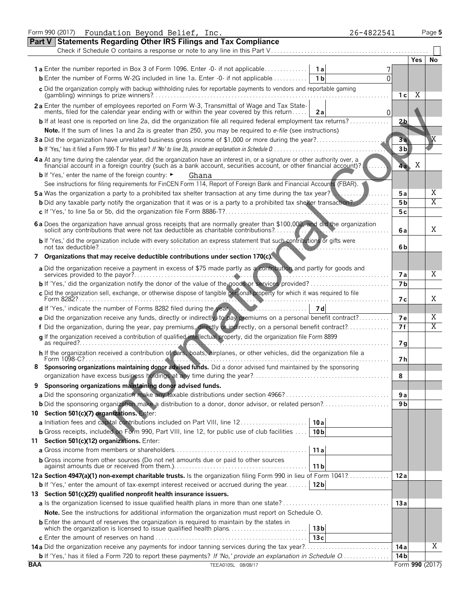|            | Form 990 (2017) Foundation Beyond Belief, Inc.<br>26-4822541                                                                                                                                                                   |                 |                 | Page 5 |
|------------|--------------------------------------------------------------------------------------------------------------------------------------------------------------------------------------------------------------------------------|-----------------|-----------------|--------|
|            | <b>Statements Regarding Other IRS Filings and Tax Compliance</b><br><b>Part V</b>                                                                                                                                              |                 |                 |        |
|            | Check if Schedule O contains a response or note to any line in this Part V                                                                                                                                                     |                 |                 |        |
|            |                                                                                                                                                                                                                                |                 | Yes             | No     |
|            | <b>1a</b> Enter the number reported in Box 3 of Form 1096. Enter -0- if not applicable<br>1 a                                                                                                                                  |                 |                 |        |
|            | <b>b</b> Enter the number of Forms W-2G included in line 1a. Enter -0- if not applicable<br>1 <sub>b</sub><br>O                                                                                                                |                 |                 |        |
|            | c Did the organization comply with backup withholding rules for reportable payments to vendors and reportable gaming                                                                                                           | 1 с             | Χ               |        |
|            | 2a Enter the number of employees reported on Form W-3, Transmittal of Wage and Tax State-<br>ments, filed for the calendar year ending with or within the year covered by this return<br>2a<br>0                               |                 |                 |        |
|            | b If at least one is reported on line 2a, did the organization file all required federal employment tax returns?.                                                                                                              | 2 <sub>b</sub>  |                 |        |
|            | Note. If the sum of lines 1a and 2a is greater than 250, you may be required to e-file (see instructions)                                                                                                                      |                 |                 |        |
|            | 3a Did the organization have unrelated business gross income of \$1,000 or more during the year?                                                                                                                               | 3a              |                 | Χ      |
|            | <b>b</b> If 'Yes,' has it filed a Form 990-T for this year? If 'No' to line 3b, provide an explanation in Schedule 0                                                                                                           | 3 <sub>b</sub>  |                 |        |
|            | 4 a At any time during the calendar year, did the organization have an interest in, or a signature or other authority over, a financial account in a foreign country (such as a bank account, securities account, or other fin |                 |                 |        |
|            |                                                                                                                                                                                                                                | 4a              | Χ               |        |
|            | <b>b</b> If 'Yes,' enter the name of the foreign country: ►<br>Ghana                                                                                                                                                           |                 |                 |        |
|            | See instructions for filing requirements for FinCEN Form 114, Report of Foreign Bank and Financial Accounts (FBAR).                                                                                                            |                 |                 |        |
|            | <b>5a</b> Was the organization a party to a prohibited tax shelter transaction at any time during the tax year?                                                                                                                | 5а              |                 | Χ      |
|            | <b>b</b> Did any taxable party notify the organization that it was or is a party to a prohibited tax shelter transaction?                                                                                                      | 5 <sub>b</sub>  |                 | Χ      |
|            |                                                                                                                                                                                                                                | 5 c             |                 |        |
|            | 6 a Does the organization have annual gross receipts that are normally greater than \$100,000, and did the organization solicit any contributions that were not tax deductible as charitable contributions?                    |                 |                 |        |
|            |                                                                                                                                                                                                                                | 6а              |                 | X      |
|            | b If 'Yes,' did the organization include with every solicitation an express statement that such contributions or gifts were                                                                                                    | 6b              |                 |        |
|            | 7 Organizations that may receive deductible contributions under section 170(c).                                                                                                                                                |                 |                 |        |
|            | a Did the organization receive a payment in excess of \$75 made partly as a contribution and partly for goods and                                                                                                              | 7 a             |                 | Χ      |
|            |                                                                                                                                                                                                                                | 7 <sub>b</sub>  |                 |        |
|            | c Did the organization sell, exchange, or otherwise dispose of tangible personal property for which it was required to file                                                                                                    |                 |                 |        |
|            | Form 8282?                                                                                                                                                                                                                     | 7 с             |                 | Χ      |
|            | d If 'Yes,' indicate the number of Forms 8282 filed during the year.<br>7 d                                                                                                                                                    |                 |                 |        |
|            | e Did the organization receive any funds, directly or indirectly, to pay premiums on a personal benefit contract?                                                                                                              | <b>7e</b>       |                 | Χ      |
|            | f Did the organization, during the year, pay premiums, directly or indirectly, on a personal benefit contract?                                                                                                                 | 7f              |                 | Χ      |
|            | g If the organization received a contribution of qualified intellectual property, did the organization file Form 8899                                                                                                          | 7g              |                 |        |
|            | h If the organization received a contribution of cars, boats, airplanes, or other vehicles, did the organization file a                                                                                                        |                 |                 |        |
|            | Form 1098-C?                                                                                                                                                                                                                   | 7 h             |                 |        |
| 8          | Sponsoring organizations maintaining donor advised funds. Did a donor advised fund maintained by the sponsoring                                                                                                                |                 |                 |        |
|            |                                                                                                                                                                                                                                | 8               |                 |        |
|            | Sponsoring organizations maintaining donor advised funds.                                                                                                                                                                      |                 |                 |        |
|            |                                                                                                                                                                                                                                | 9a              |                 |        |
|            |                                                                                                                                                                                                                                | 9 <sub>b</sub>  |                 |        |
|            | 10 Section 501(c)(7) organizations. Enter:                                                                                                                                                                                     |                 |                 |        |
|            | a Initiation fees and capital contributions included on Part VIII, line 12<br>10a                                                                                                                                              |                 |                 |        |
|            | <b>b</b> Gross receipts, included on Form 990, Part VIII, line 12, for public use of club facilities<br>10 <sub>b</sub>                                                                                                        |                 |                 |        |
|            | 11 Section 501(c)(12) organizations. Enter:                                                                                                                                                                                    |                 |                 |        |
|            | 11a                                                                                                                                                                                                                            |                 |                 |        |
|            | <b>b</b> Gross income from other sources (Do not net amounts due or paid to other sources<br>  11 b                                                                                                                            |                 |                 |        |
|            | 12a Section 4947(a)(1) non-exempt charitable trusts. Is the organization filing Form 990 in lieu of Form 1041?                                                                                                                 | 12a             |                 |        |
|            | <b>b</b> If 'Yes,' enter the amount of tax-exempt interest received or accrued during the year<br>12 <sub>b</sub>                                                                                                              |                 |                 |        |
|            | 13 Section 501(c)(29) qualified nonprofit health insurance issuers.                                                                                                                                                            |                 |                 |        |
|            |                                                                                                                                                                                                                                | 13a             |                 |        |
|            | Note. See the instructions for additional information the organization must report on Schedule O.                                                                                                                              |                 |                 |        |
|            |                                                                                                                                                                                                                                |                 |                 |        |
|            | 73c                                                                                                                                                                                                                            |                 |                 |        |
|            |                                                                                                                                                                                                                                | 14 a            |                 | Χ      |
|            | <b>b</b> If 'Yes,' has it filed a Form 720 to report these payments? If 'No,' provide an explanation in Schedule O                                                                                                             | 14 <sub>b</sub> |                 |        |
| <b>BAA</b> | TEEA0105L 08/08/17                                                                                                                                                                                                             |                 | Form 990 (2017) |        |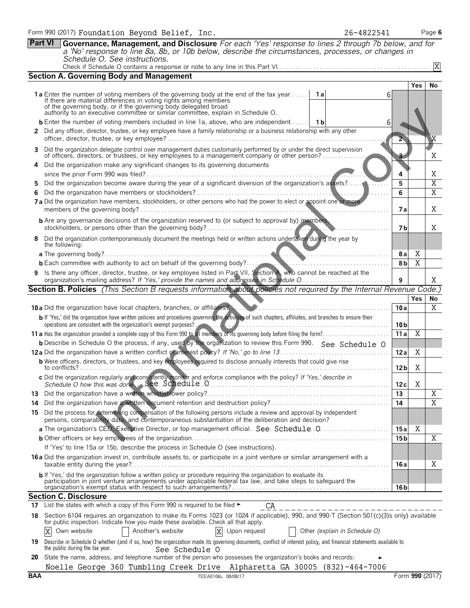|          | <b>Part VI</b><br><b>Governance, Management, and Disclosure</b> For each 'Yes' response to lines 2 through 7b below, and for<br>a 'No' response to line 8a, 8b, or 10b below, describe the circumstances, processes, or changes in                                                                                                                                                                                                           |                         |                         |                                  |
|----------|----------------------------------------------------------------------------------------------------------------------------------------------------------------------------------------------------------------------------------------------------------------------------------------------------------------------------------------------------------------------------------------------------------------------------------------------|-------------------------|-------------------------|----------------------------------|
|          | Schedule O. See instructions.                                                                                                                                                                                                                                                                                                                                                                                                                |                         |                         | X                                |
|          | <b>Section A. Governing Body and Management</b>                                                                                                                                                                                                                                                                                                                                                                                              |                         |                         |                                  |
|          | <b>1a</b> Enter the number of voting members of the governing body at the end of the tax year <b>1a</b><br>6<br>If there are material differences in voting rights among members<br>of the governing body, or if the governing body delegated broad<br>authority to an executive committee or similar committee, explain in Schedule O.<br><b>b</b> Enter the number of voting members included in line 1a, above, who are independent    1b |                         | Yes                     | No                               |
|          | 6<br>2 Did any officer, director, trustee, or key employee have a family relationship or a business relationship with any other                                                                                                                                                                                                                                                                                                              | $\overline{\mathbf{2}}$ |                         | X                                |
| 4        | Did the organization delegate control over management duties customarily performed by or under the direct supervision<br>of officers, directors, or trustees, or key employees to a management company or other person?<br>Did the organization make any significant changes to its governing documents                                                                                                                                      |                         |                         | Χ                                |
|          |                                                                                                                                                                                                                                                                                                                                                                                                                                              | 4                       |                         | Χ                                |
| 5<br>6   |                                                                                                                                                                                                                                                                                                                                                                                                                                              | 5<br>6                  |                         | $\overline{X}$<br>$\overline{X}$ |
|          | 7 a Did the organization have members, stockholders, or other persons who had the power to elect or appoint one or more                                                                                                                                                                                                                                                                                                                      | 7 a                     |                         | Χ                                |
|          | <b>b</b> Are any governance decisions of the organization reserved to (or subject to approval by) members,                                                                                                                                                                                                                                                                                                                                   | 7 b                     |                         | X                                |
| 8        | Did the organization contemporaneously document the meetings held or written actions undertaken during the year by<br>the following:                                                                                                                                                                                                                                                                                                         |                         |                         |                                  |
|          |                                                                                                                                                                                                                                                                                                                                                                                                                                              | 8 a<br>8b               | Χ<br>$\overline{X}$     |                                  |
|          | 9 Is there any officer, director, trustee, or key employee listed in Part VII, Section A, who cannot be reached at the                                                                                                                                                                                                                                                                                                                       | 9                       |                         | X                                |
|          | Section B. Policies (This Section B requests information about policies not required by the Internal Revenue Code.)                                                                                                                                                                                                                                                                                                                          |                         |                         |                                  |
|          | 10 a Did the organization have local chapters, branches, or affiliates? Martin Martin Martin Martin Martin Martin Martin Martin Martin Martin Martin Martin Martin Martin Martin Martin Martin Martin Martin Martin Martin Mar                                                                                                                                                                                                               | 10a                     | <b>Yes</b>              | No<br>$\overline{X}$             |
|          | b If 'Yes,' did the organization have written policies and procedures governing the activities of such chapters, affiliates, and branches to ensure their                                                                                                                                                                                                                                                                                    |                         |                         |                                  |
|          |                                                                                                                                                                                                                                                                                                                                                                                                                                              |                         |                         |                                  |
|          | operations are consistent with the organization's exempt purposes?                                                                                                                                                                                                                                                                                                                                                                           | 10 <sub>b</sub><br>11a  | $\overline{\mathbf{X}}$ |                                  |
|          | <b>b</b> Describe in Schedule O the process, if any, used by the organization to review this Form 990. See Schedule O                                                                                                                                                                                                                                                                                                                        |                         |                         |                                  |
|          |                                                                                                                                                                                                                                                                                                                                                                                                                                              | 12a                     | Χ                       |                                  |
|          | <b>b</b> Were officers, directors, or trustees, and key employees required to disclose annually interests that could give rise<br>to conflicts?<br>.                                                                                                                                                                                                                                                                                         | 12 <sub>b</sub>         | X                       |                                  |
|          | c Did the organization regularly and consistently monitor and enforce compliance with the policy? If 'Yes,' describe in                                                                                                                                                                                                                                                                                                                      | 12c                     | Χ                       |                                  |
|          |                                                                                                                                                                                                                                                                                                                                                                                                                                              | 13                      |                         | Χ                                |
| 14<br>15 | Did the process for determining compensation of the following persons include a review and approval by independent<br>persons, comparability data, and contemporaneous substantiation of the deliberation and decision?                                                                                                                                                                                                                      | 14                      |                         | Χ                                |
|          |                                                                                                                                                                                                                                                                                                                                                                                                                                              | 15 a                    | Χ                       |                                  |
|          |                                                                                                                                                                                                                                                                                                                                                                                                                                              | 15 <sub>b</sub>         |                         | X                                |
|          | If 'Yes' to line 15a or 15b, describe the process in Schedule O (see instructions).                                                                                                                                                                                                                                                                                                                                                          |                         |                         |                                  |
|          | <b>16a</b> Did the organization invest in, contribute assets to, or participate in a joint venture or similar arrangement with a                                                                                                                                                                                                                                                                                                             | 16 a                    |                         | Χ                                |
|          | <b>b</b> If 'Yes,' did the organization follow a written policy or procedure requiring the organization to evaluate its<br>participation in joint venture arrangements under applicable federal tax law, and take steps to safeguard the                                                                                                                                                                                                     | 16 b                    |                         |                                  |
|          | <b>Section C. Disclosure</b>                                                                                                                                                                                                                                                                                                                                                                                                                 |                         |                         |                                  |
| 17       | List the states with which a copy of this Form 990 is required to be filed ►<br>CA                                                                                                                                                                                                                                                                                                                                                           |                         |                         |                                  |
| 18       | Section 6104 requires an organization to make its Forms 1023 (or 1024 if applicable), 990, and 990-T (Section 501(c)(3)s only) available<br>for public inspection. Indicate how you made these available. Check all that apply.<br>Own website<br>Another's website<br>X<br>Upon request<br>Other (explain in Schedule O)<br>Χ                                                                                                               |                         |                         |                                  |
| 19.      | Describe in Schedule O whether (and if so, how) the organization made its governing documents, conflict of interest policy, and financial statements available to<br>the public during the tax year.                                                                                                                                                                                                                                         |                         |                         |                                  |
| 20       | See Schedule O<br>State the name, address, and telephone number of the person who possesses the organization's books and records:                                                                                                                                                                                                                                                                                                            |                         |                         |                                  |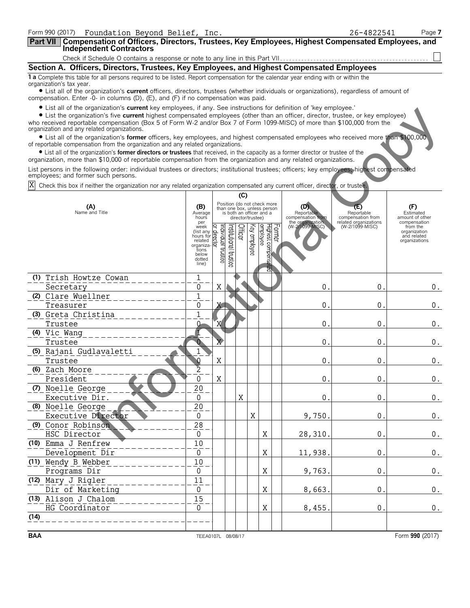| Form 990 (2017)<br>Foundation Beyond Belief, Inc.                                                                                                                                                                                                           |                                   |                             |                       |                   |              |                                                         |        |                                     | 26-4822541                               | Page 7                                       |
|-------------------------------------------------------------------------------------------------------------------------------------------------------------------------------------------------------------------------------------------------------------|-----------------------------------|-----------------------------|-----------------------|-------------------|--------------|---------------------------------------------------------|--------|-------------------------------------|------------------------------------------|----------------------------------------------|
| Part VII   Compensation of Officers, Directors, Trustees, Key Employees, Highest Compensated Employees, and                                                                                                                                                 |                                   |                             |                       |                   |              |                                                         |        |                                     |                                          |                                              |
| <b>Independent Contractors</b>                                                                                                                                                                                                                              |                                   |                             |                       |                   |              |                                                         |        |                                     |                                          |                                              |
| Section A. Officers, Directors, Trustees, Key Employees, and Highest Compensated Employees                                                                                                                                                                  |                                   |                             |                       |                   |              |                                                         |        |                                     |                                          |                                              |
| 1 a Complete this table for all persons required to be listed. Report compensation for the calendar year ending with or within the                                                                                                                          |                                   |                             |                       |                   |              |                                                         |        |                                     |                                          |                                              |
| organization's tax year.<br>• List all of the organization's <b>current</b> officers, directors, trustees (whether individuals or organizations), regardless of amount of                                                                                   |                                   |                             |                       |                   |              |                                                         |        |                                     |                                          |                                              |
| compensation. Enter -0- in columns (D), (E), and (F) if no compensation was paid.                                                                                                                                                                           |                                   |                             |                       |                   |              |                                                         |        |                                     |                                          |                                              |
| • List all of the organization's current key employees, if any. See instructions for definition of 'key employee.'                                                                                                                                          |                                   |                             |                       |                   |              |                                                         |        |                                     |                                          |                                              |
| • List the organization's five current highest compensated employees (other than an officer, director, trustee, or key employee)<br>who received reportable compensation (Box 5 of Form W-2 and/or Box 7 of Form 1099-MISC) of more than \$100,000 from the |                                   |                             |                       |                   |              |                                                         |        |                                     |                                          |                                              |
| organization and any related organizations.<br>• List all of the organization's former officers, key employees, and highest compensated employees who received more than \$100,000                                                                          |                                   |                             |                       |                   |              |                                                         |        |                                     |                                          |                                              |
| of reportable compensation from the organization and any related organizations.                                                                                                                                                                             |                                   |                             |                       |                   |              |                                                         |        |                                     |                                          |                                              |
| • List all of the organization's former directors or trustees that received, in the capacity as a former director or trustee of the<br>organization, more than \$10,000 of reportable compensation from the organization and any related organizations.     |                                   |                             |                       |                   |              |                                                         |        |                                     |                                          |                                              |
| List persons in the following order: individual trustees or directors; institutional trustees; officers; key employees; highest compensated                                                                                                                 |                                   |                             |                       |                   |              |                                                         |        |                                     |                                          |                                              |
| employees; and former such persons.<br>Check this box if neither the organization nor any related organization compensated any current officer, director, or trustee.                                                                                       |                                   |                             |                       |                   |              |                                                         |        |                                     |                                          |                                              |
|                                                                                                                                                                                                                                                             |                                   |                             |                       | (C)               |              |                                                         |        |                                     |                                          |                                              |
| (A)                                                                                                                                                                                                                                                         | (B)                               |                             |                       |                   |              | Position (do not check more                             |        | (D)                                 | (E)                                      | (F)                                          |
| Name and Title                                                                                                                                                                                                                                              | Average<br>hours                  |                             |                       | director/trustee) |              | than one box, unless person<br>is both an officer and a |        | Reportable<br>compensation from     | Reportable<br>compensation from          | Estimated<br>amount of other                 |
|                                                                                                                                                                                                                                                             | per<br>week                       |                             |                       |                   | $\mathbb{R}$ |                                                         |        | the organization<br>(W-2/1099-MISC) | related organizations<br>(W-2/1099-MISC) | compensation<br>from the                     |
|                                                                                                                                                                                                                                                             | (list any<br>hours for<br>related | əətsut laubivibni<br>direct |                       | Officer           |              | Highest compensa<br>employee                            | Former |                                     |                                          | organization<br>and related<br>organizations |
|                                                                                                                                                                                                                                                             | organiza-<br>tions                |                             |                       |                   | enployee     |                                                         |        |                                     |                                          |                                              |
|                                                                                                                                                                                                                                                             | below<br>dotted<br>line)          |                             | Institutional trustee |                   |              |                                                         |        |                                     |                                          |                                              |
|                                                                                                                                                                                                                                                             |                                   |                             |                       |                   |              | ଞ୍ଚି                                                    |        |                                     |                                          |                                              |
| (1) Trish Howtze Cowan<br>Secretary                                                                                                                                                                                                                         | 1<br>0                            | Χ                           |                       |                   |              |                                                         |        | 0                                   | 0                                        | $0$ .                                        |
| (2) Clare Wuellner                                                                                                                                                                                                                                          | $\overline{1}$                    |                             |                       |                   |              |                                                         |        |                                     |                                          |                                              |
| Treasurer                                                                                                                                                                                                                                                   | 0                                 | Χ                           |                       |                   |              |                                                         |        | 0                                   | 0                                        | 0.                                           |
| (3) Greta Christina                                                                                                                                                                                                                                         | 1                                 |                             |                       |                   |              |                                                         |        |                                     |                                          |                                              |
| Trustee                                                                                                                                                                                                                                                     | Ռ                                 | 'X                          |                       |                   |              |                                                         |        | 0                                   | 0                                        | 0.                                           |
| (4) Vic Wang<br>Trustee                                                                                                                                                                                                                                     |                                   | $\overline{\mathbf{X}}$     |                       |                   |              |                                                         |        | 0                                   | 0                                        | $0$ .                                        |
| Rajani Gudlavaletti<br>(5)                                                                                                                                                                                                                                  |                                   |                             |                       |                   |              |                                                         |        |                                     |                                          |                                              |
| Trustee                                                                                                                                                                                                                                                     |                                   | Χ                           |                       |                   |              |                                                         |        | 0                                   | 0                                        | 0.                                           |
| (6) Zach Moore                                                                                                                                                                                                                                              | $\overline{z}$                    |                             |                       |                   |              |                                                         |        |                                     |                                          |                                              |
| President<br>(7) Noelle George                                                                                                                                                                                                                              | 0<br>20                           | X                           |                       |                   |              |                                                         |        | 0.                                  | $0$ .                                    | $0$ .                                        |
| Executive Dir.                                                                                                                                                                                                                                              | 0                                 |                             |                       | $\mathbf X$       |              |                                                         |        | 0 <sub>1</sub>                      | 0.                                       | $0$ .                                        |
| (8) Noelle George                                                                                                                                                                                                                                           | 20                                |                             |                       |                   |              |                                                         |        |                                     |                                          |                                              |
| Executive Director                                                                                                                                                                                                                                          | 0                                 |                             |                       |                   | X            |                                                         |        | 9,750                               | 0.                                       | $0$ .                                        |
| (9) Conor Robinson<br>HSC Director                                                                                                                                                                                                                          | $2\sqrt{8}$                       |                             |                       |                   |              | X                                                       |        |                                     |                                          |                                              |
| (10) Emma J Renfrew                                                                                                                                                                                                                                         | 0<br>10                           |                             |                       |                   |              |                                                         |        | 28,310                              | 0.                                       | $0$ .                                        |
| Development Dir                                                                                                                                                                                                                                             | 0                                 |                             |                       |                   |              | X                                                       |        | 11,938.                             | 0.                                       | $0$ .                                        |
| (11) Wendy B Webber                                                                                                                                                                                                                                         | 10                                |                             |                       |                   |              |                                                         |        |                                     |                                          |                                              |
| Programs Dir                                                                                                                                                                                                                                                | 0                                 |                             |                       |                   |              | Χ                                                       |        | 9,763                               | 0.                                       | $0$ .                                        |
| (12) Mary J Rigler<br>Dir of Marketing                                                                                                                                                                                                                      | 11<br>$\pmb{0}$                   |                             |                       |                   |              | X                                                       |        | 8,663                               | 0.                                       | $0$ .                                        |
| (13) Alison J Chalom                                                                                                                                                                                                                                        | 15                                |                             |                       |                   |              |                                                         |        |                                     |                                          |                                              |
| HG Coordinator                                                                                                                                                                                                                                              | 0                                 |                             |                       |                   |              | Χ                                                       |        | 8,455                               | 0                                        | 0.                                           |
| (14)                                                                                                                                                                                                                                                        |                                   |                             |                       |                   |              |                                                         |        |                                     |                                          |                                              |
|                                                                                                                                                                                                                                                             |                                   |                             |                       |                   |              |                                                         |        |                                     |                                          |                                              |

TEEA0107L 08/08/17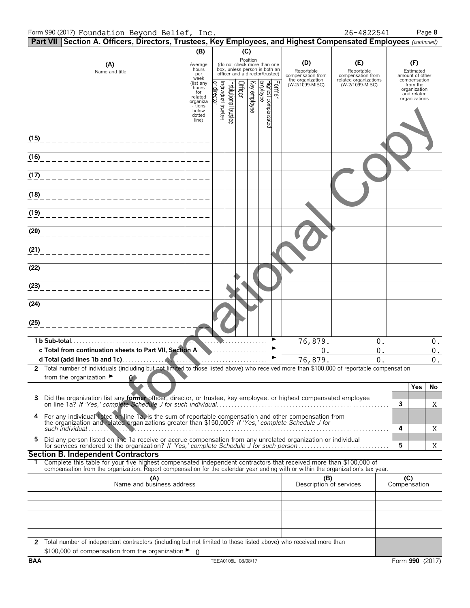#### Form 990 (2017) Foundation Beyond Belief, Inc.

26-4822541

| Form 990 (2017) Foundation Beyond Belief, Inc.                                                                                                                                                                                                         |                                                |                                  |                                 |              |                                                                                                             |                                                            | 26-4822541                                                      |                     | Page 8                                                   |
|--------------------------------------------------------------------------------------------------------------------------------------------------------------------------------------------------------------------------------------------------------|------------------------------------------------|----------------------------------|---------------------------------|--------------|-------------------------------------------------------------------------------------------------------------|------------------------------------------------------------|-----------------------------------------------------------------|---------------------|----------------------------------------------------------|
| Part VII Section A. Officers, Directors, Trustees, Key Employees, and Highest Compensated Employees (continued)                                                                                                                                        |                                                |                                  |                                 |              |                                                                                                             |                                                            |                                                                 |                     |                                                          |
|                                                                                                                                                                                                                                                        | (B)                                            |                                  |                                 | (C)          |                                                                                                             |                                                            |                                                                 |                     |                                                          |
| (A)<br>Name and title                                                                                                                                                                                                                                  | Average<br>hours<br>per<br>week<br>(list any   |                                  |                                 |              | Position<br>(do not check more than one<br>box, unless person is both an<br>officer and a director/trustee) | (D)<br>Reportable<br>compensation from<br>the organization | (E)<br>Reportable<br>compensation from<br>related organizations |                     | (F)<br>Estimated<br>amount of other<br>compensation      |
|                                                                                                                                                                                                                                                        | hours<br>for<br>related<br>organiza<br>- tions | or director<br>ndividual trustee | nstitutional trustee<br>Officer | Key employee | Highest compensated<br>employee<br>Former                                                                   | (W-2/1099-MISC)                                            | (W-2/1099-MISC)                                                 |                     | from the<br>organization<br>and related<br>organizations |
|                                                                                                                                                                                                                                                        | below<br>dotted<br>line)                       |                                  |                                 |              |                                                                                                             |                                                            |                                                                 |                     |                                                          |
| (15)                                                                                                                                                                                                                                                   |                                                |                                  |                                 |              |                                                                                                             |                                                            |                                                                 |                     |                                                          |
| (16)                                                                                                                                                                                                                                                   |                                                |                                  |                                 |              |                                                                                                             |                                                            |                                                                 |                     |                                                          |
| (17)                                                                                                                                                                                                                                                   |                                                |                                  |                                 |              |                                                                                                             |                                                            |                                                                 |                     |                                                          |
| (18)                                                                                                                                                                                                                                                   |                                                |                                  |                                 |              |                                                                                                             |                                                            |                                                                 |                     |                                                          |
| (19)                                                                                                                                                                                                                                                   |                                                |                                  |                                 |              |                                                                                                             |                                                            |                                                                 |                     |                                                          |
| (20)                                                                                                                                                                                                                                                   |                                                |                                  |                                 |              |                                                                                                             |                                                            |                                                                 |                     |                                                          |
| (21)                                                                                                                                                                                                                                                   |                                                |                                  |                                 |              |                                                                                                             |                                                            |                                                                 |                     |                                                          |
| (22)                                                                                                                                                                                                                                                   |                                                |                                  |                                 |              |                                                                                                             |                                                            |                                                                 |                     |                                                          |
| (23)                                                                                                                                                                                                                                                   |                                                |                                  |                                 |              |                                                                                                             |                                                            |                                                                 |                     |                                                          |
| (24)                                                                                                                                                                                                                                                   |                                                |                                  |                                 |              |                                                                                                             |                                                            |                                                                 |                     |                                                          |
| (25)                                                                                                                                                                                                                                                   |                                                |                                  |                                 |              |                                                                                                             |                                                            |                                                                 |                     |                                                          |
| 1 b Sub-total.                                                                                                                                                                                                                                         |                                                |                                  |                                 |              |                                                                                                             | 76,879.                                                    | 0.                                                              |                     | $0$ .                                                    |
| c Total from continuation sheets to Part VII, Section A.                                                                                                                                                                                               |                                                |                                  |                                 |              |                                                                                                             | 0.                                                         | 0.                                                              |                     | 0.                                                       |
|                                                                                                                                                                                                                                                        |                                                |                                  |                                 |              |                                                                                                             | 76,879.                                                    | $\overline{0}$ .                                                |                     | 0.                                                       |
| 2 Total number of individuals (including but not limited to those listed above) who received more than \$100,000 of reportable compensation<br>from the organization $\blacktriangleright$                                                             |                                                |                                  |                                 |              |                                                                                                             |                                                            |                                                                 |                     |                                                          |
| 3                                                                                                                                                                                                                                                      |                                                |                                  |                                 |              |                                                                                                             |                                                            |                                                                 | 3                   | Yes<br>No<br>X                                           |
| For any individual listed on line 1a, is the sum of reportable compensation and other compensation from the organization and related organizations greater than \$150,000? If 'Yes,' complete Schedule J for<br>4<br>such individual                   |                                                |                                  |                                 |              |                                                                                                             |                                                            |                                                                 | 4                   | Χ                                                        |
| Did any person listed on line 1a receive or accrue compensation from any unrelated organization or individual<br>5                                                                                                                                     |                                                |                                  |                                 |              |                                                                                                             |                                                            |                                                                 | 5                   | Χ                                                        |
| <b>Section B. Independent Contractors</b>                                                                                                                                                                                                              |                                                |                                  |                                 |              |                                                                                                             |                                                            |                                                                 |                     |                                                          |
| Complete this table for your five highest compensated independent contractors that received more than \$100,000 of<br>compensation from the organization. Report compensation for the calendar year ending with or within the organization's tax year. |                                                |                                  |                                 |              |                                                                                                             |                                                            |                                                                 |                     |                                                          |
| (A)<br>Name and business address                                                                                                                                                                                                                       |                                                |                                  |                                 |              |                                                                                                             | (B)<br>Description of services                             |                                                                 | (C)<br>Compensation |                                                          |
|                                                                                                                                                                                                                                                        |                                                |                                  |                                 |              |                                                                                                             |                                                            |                                                                 |                     |                                                          |
|                                                                                                                                                                                                                                                        |                                                |                                  |                                 |              |                                                                                                             |                                                            |                                                                 |                     |                                                          |
|                                                                                                                                                                                                                                                        |                                                |                                  |                                 |              |                                                                                                             |                                                            |                                                                 |                     |                                                          |
|                                                                                                                                                                                                                                                        |                                                |                                  |                                 |              |                                                                                                             |                                                            |                                                                 |                     |                                                          |
| 2 Total number of independent contractors (including but not limited to those listed above) who received more than<br>\$100,000 of compensation from the organization $\blacktriangleright$ 0                                                          |                                                |                                  |                                 |              |                                                                                                             |                                                            |                                                                 |                     |                                                          |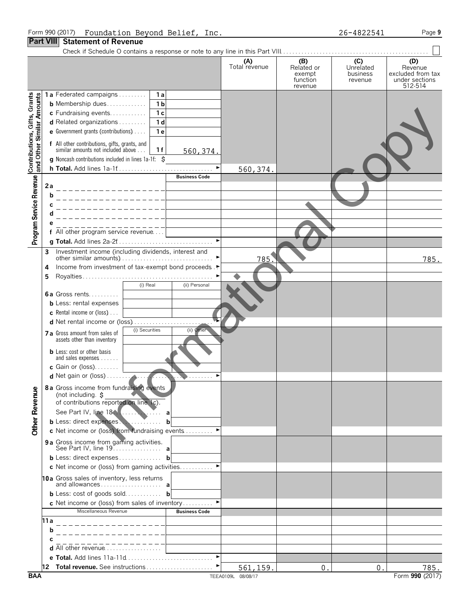26-4822541

Page  $9$ 

|                                                           |      |                                                                                                                                                                                       |                                                    |                      | (A)<br>Total revenue | (B)<br>Related or<br>exempt<br>function<br>revenue | (C)<br>Unrelated<br>business<br>revenue | (D)<br>Revenue<br>excluded from tax<br>under sections<br>512-514 |
|-----------------------------------------------------------|------|---------------------------------------------------------------------------------------------------------------------------------------------------------------------------------------|----------------------------------------------------|----------------------|----------------------|----------------------------------------------------|-----------------------------------------|------------------------------------------------------------------|
| Contributions, Gifts, Grants<br>and Other Similar Amounts |      | 1a Federated campaigns<br><b>b</b> Membership dues<br>c Fundraising events<br>d Related organizations<br><b>e</b> Government grants (contributions) $\ldots$                          | 1a<br>1 <sub>b</sub><br>1 <sub>c</sub><br>1d<br>1e |                      |                      |                                                    |                                         |                                                                  |
|                                                           |      | f All other contributions, gifts, grants, and<br>similar amounts not included above<br><b>g</b> Noncash contributions included in lines $1a-1f$ : $\zeta$<br>h Total. Add lines 1a-1f | 1f                                                 | 560, 374.            |                      |                                                    |                                         |                                                                  |
|                                                           |      |                                                                                                                                                                                       |                                                    | <b>Business Code</b> | 560, 374.            |                                                    |                                         |                                                                  |
| Program Service Revenue                                   | 2a   |                                                                                                                                                                                       |                                                    |                      |                      |                                                    |                                         |                                                                  |
|                                                           | b    |                                                                                                                                                                                       |                                                    |                      |                      |                                                    |                                         |                                                                  |
|                                                           |      |                                                                                                                                                                                       |                                                    |                      |                      |                                                    |                                         |                                                                  |
|                                                           |      |                                                                                                                                                                                       |                                                    |                      |                      |                                                    |                                         |                                                                  |
|                                                           |      | f All other program service revenue                                                                                                                                                   |                                                    |                      |                      |                                                    |                                         |                                                                  |
|                                                           |      |                                                                                                                                                                                       |                                                    |                      |                      |                                                    |                                         |                                                                  |
|                                                           | 3    | Investment income (including dividends, interest and                                                                                                                                  |                                                    |                      | 785                  |                                                    |                                         | 785.                                                             |
|                                                           | 4    | Income from investment of tax-exempt bond proceeds.▶                                                                                                                                  |                                                    |                      |                      |                                                    |                                         |                                                                  |
|                                                           | 5    |                                                                                                                                                                                       |                                                    |                      |                      |                                                    |                                         |                                                                  |
|                                                           |      | (i) Real<br>6a Gross rents                                                                                                                                                            |                                                    | (ii) Personal        |                      |                                                    |                                         |                                                                  |
|                                                           |      | <b>b</b> Less: rental expenses                                                                                                                                                        |                                                    |                      |                      |                                                    |                                         |                                                                  |
|                                                           |      | <b>c</b> Rental income or (loss) $\ldots$                                                                                                                                             |                                                    |                      |                      |                                                    |                                         |                                                                  |
|                                                           |      | d Net rental income or (loss)                                                                                                                                                         |                                                    |                      |                      |                                                    |                                         |                                                                  |
|                                                           |      | (i) Securities<br>7 a Gross amount from sales of<br>assets other than inventory                                                                                                       |                                                    | (ii) Other           |                      |                                                    |                                         |                                                                  |
|                                                           |      | <b>b</b> Less: cost or other basis<br>and sales expenses                                                                                                                              |                                                    |                      |                      |                                                    |                                         |                                                                  |
|                                                           |      | c Gain or $(loss)$                                                                                                                                                                    |                                                    |                      |                      |                                                    |                                         |                                                                  |
|                                                           |      | 8a Gross income from fundraising events                                                                                                                                               |                                                    |                      |                      |                                                    |                                         |                                                                  |
| <b>Other Revenue</b>                                      |      | (not including. \$<br>of contributions reported on line 1c).                                                                                                                          |                                                    |                      |                      |                                                    |                                         |                                                                  |
|                                                           |      | b Less: direct expenses.                                                                                                                                                              | b                                                  |                      |                      |                                                    |                                         |                                                                  |
|                                                           |      | c Net income or (loss) from fundraising events                                                                                                                                        |                                                    |                      |                      |                                                    |                                         |                                                                  |
|                                                           |      | 9 a Gross income from gaming activities.<br>See Part IV, line 19. a                                                                                                                   |                                                    |                      |                      |                                                    |                                         |                                                                  |
|                                                           |      | <b>b</b> Less: direct expenses <b>b</b>                                                                                                                                               |                                                    |                      |                      |                                                    |                                         |                                                                  |
|                                                           |      | c Net income or (loss) from gaming activities                                                                                                                                         |                                                    |                      |                      |                                                    |                                         |                                                                  |
|                                                           |      | 10a Gross sales of inventory, less returns                                                                                                                                            |                                                    |                      |                      |                                                    |                                         |                                                                  |
|                                                           |      | <b>b</b> Less: cost of goods sold <b>b</b>                                                                                                                                            |                                                    |                      |                      |                                                    |                                         |                                                                  |
|                                                           |      | c Net income or (loss) from sales of inventory<br>Miscellaneous Revenue                                                                                                               |                                                    | <b>Business Code</b> |                      |                                                    |                                         |                                                                  |
|                                                           | 11 a |                                                                                                                                                                                       |                                                    |                      |                      |                                                    |                                         |                                                                  |
|                                                           | b    |                                                                                                                                                                                       |                                                    |                      |                      |                                                    |                                         |                                                                  |
|                                                           |      |                                                                                                                                                                                       |                                                    |                      |                      |                                                    |                                         |                                                                  |
|                                                           |      | <b>d</b> All other revenue $\ldots \ldots \ldots \ldots \ldots$                                                                                                                       |                                                    |                      |                      |                                                    |                                         |                                                                  |
|                                                           |      | e Total. Add lines 11a-11d                                                                                                                                                            |                                                    |                      |                      |                                                    |                                         |                                                                  |
|                                                           |      |                                                                                                                                                                                       |                                                    |                      | 561,159.             | 0 <sub>1</sub>                                     | 0.                                      | 785.                                                             |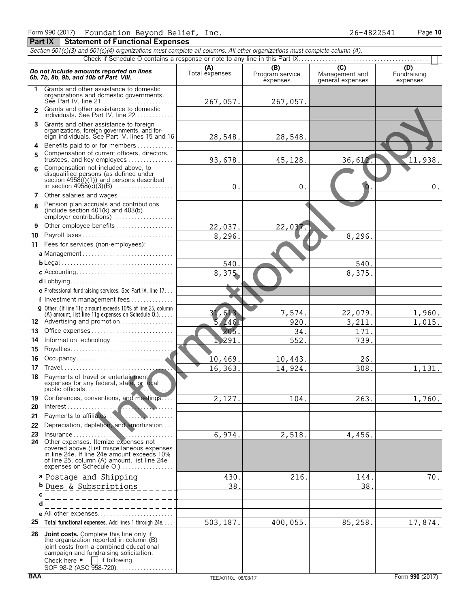| Section 501(c)(3) and 501(c)(4) organizations must complete all columns. All other organizations must complete column (A). |                                                                                                                                                                                                                                                              |                       |                                    |                                                      |                                |  |  |  |  |
|----------------------------------------------------------------------------------------------------------------------------|--------------------------------------------------------------------------------------------------------------------------------------------------------------------------------------------------------------------------------------------------------------|-----------------------|------------------------------------|------------------------------------------------------|--------------------------------|--|--|--|--|
|                                                                                                                            |                                                                                                                                                                                                                                                              |                       |                                    |                                                      |                                |  |  |  |  |
|                                                                                                                            | Do not include amounts reported on lines<br>6b, 7b, 8b, 9b, and 10b of Part VIII.                                                                                                                                                                            | (A)<br>Total expenses | (B)<br>Program service<br>expenses | $\overline{C}$<br>Management and<br>general expenses | (D)<br>Fundraising<br>expenses |  |  |  |  |
| 1.                                                                                                                         | Grants and other assistance to domestic                                                                                                                                                                                                                      |                       |                                    |                                                      |                                |  |  |  |  |
|                                                                                                                            | organizations and domestic governments.                                                                                                                                                                                                                      | 267,057.              | 267,057.                           |                                                      |                                |  |  |  |  |
| 2                                                                                                                          | Grants and other assistance to domestic<br>individuals. See Part IV, line 22                                                                                                                                                                                 |                       |                                    |                                                      |                                |  |  |  |  |
|                                                                                                                            | 3 Grants and other assistance to foreign                                                                                                                                                                                                                     |                       |                                    |                                                      |                                |  |  |  |  |
|                                                                                                                            | organizations, foreign governments, and for-<br>eign individuals. See Part IV, lines 15 and 16                                                                                                                                                               | 28,548.               | 28,548.                            |                                                      |                                |  |  |  |  |
|                                                                                                                            | 4 Benefits paid to or for members                                                                                                                                                                                                                            |                       |                                    |                                                      |                                |  |  |  |  |
| 5                                                                                                                          | Compensation of current officers, directors,<br>trustees, and key employees                                                                                                                                                                                  | 93,678.               | 45,128.                            | 36,612.                                              | 11,938.                        |  |  |  |  |
| 6                                                                                                                          | Compensation not included above, to<br>disqualified persons (as defined under                                                                                                                                                                                |                       |                                    |                                                      |                                |  |  |  |  |
|                                                                                                                            |                                                                                                                                                                                                                                                              | 0.                    | 0.                                 |                                                      | $0$ .                          |  |  |  |  |
|                                                                                                                            | 7 Other salaries and wages                                                                                                                                                                                                                                   |                       |                                    |                                                      |                                |  |  |  |  |
| 8                                                                                                                          | Pension plan accruals and contributions<br>(include section $401(k)$ and $403(b)$ )                                                                                                                                                                          |                       |                                    |                                                      |                                |  |  |  |  |
| 9                                                                                                                          | Other employee benefits                                                                                                                                                                                                                                      | 22,037.               | 22,037.                            |                                                      |                                |  |  |  |  |
| 10                                                                                                                         | Payroll taxes                                                                                                                                                                                                                                                | 8,296.                |                                    | 8,296.                                               |                                |  |  |  |  |
|                                                                                                                            | 11 Fees for services (non-employees):                                                                                                                                                                                                                        |                       |                                    |                                                      |                                |  |  |  |  |
|                                                                                                                            |                                                                                                                                                                                                                                                              |                       |                                    |                                                      |                                |  |  |  |  |
|                                                                                                                            |                                                                                                                                                                                                                                                              | 540.                  |                                    | 540.                                                 |                                |  |  |  |  |
|                                                                                                                            |                                                                                                                                                                                                                                                              | 8,375.                |                                    | 8,375.                                               |                                |  |  |  |  |
|                                                                                                                            |                                                                                                                                                                                                                                                              |                       |                                    |                                                      |                                |  |  |  |  |
|                                                                                                                            | e Professional fundraising services. See Part IV, line 17                                                                                                                                                                                                    |                       |                                    |                                                      |                                |  |  |  |  |
|                                                                                                                            | f Investment management fees                                                                                                                                                                                                                                 |                       |                                    |                                                      |                                |  |  |  |  |
|                                                                                                                            | <b>g</b> Other. (If line 11q amount exceeds 10% of line 25, column                                                                                                                                                                                           |                       |                                    |                                                      |                                |  |  |  |  |
|                                                                                                                            | (A) amount, list line 11g expenses on Schedule $0.$ )                                                                                                                                                                                                        | 31,613.               | 7,574.                             | 22,079.                                              | 1,960.                         |  |  |  |  |
|                                                                                                                            | 12 Advertising and promotion                                                                                                                                                                                                                                 | 5,146.                | 920.                               | 3,211.                                               | 1,015.                         |  |  |  |  |
| 13                                                                                                                         | Office expenses                                                                                                                                                                                                                                              | 205.                  | 34.                                | 171.                                                 |                                |  |  |  |  |
| 14                                                                                                                         | Information technology                                                                                                                                                                                                                                       | 1,291.                | 552.                               | 739.                                                 |                                |  |  |  |  |
| 15                                                                                                                         |                                                                                                                                                                                                                                                              |                       |                                    |                                                      |                                |  |  |  |  |
| 16                                                                                                                         |                                                                                                                                                                                                                                                              | 10,469.               | 10,443.                            | 26.                                                  |                                |  |  |  |  |
| 17                                                                                                                         | Travel                                                                                                                                                                                                                                                       | 16,363.               | 14,924.                            | 308.                                                 | 1,131.                         |  |  |  |  |
| 18                                                                                                                         | Payments of travel or entertainment<br>expenses for any federal, state, or local                                                                                                                                                                             |                       |                                    |                                                      |                                |  |  |  |  |
| 19.                                                                                                                        | Conferences, conventions, and meetings                                                                                                                                                                                                                       | 2,127.                | 104.                               | 263.                                                 | 1,760.                         |  |  |  |  |
| 20                                                                                                                         |                                                                                                                                                                                                                                                              |                       |                                    |                                                      |                                |  |  |  |  |
| 21                                                                                                                         | Payments to affiliates                                                                                                                                                                                                                                       |                       |                                    |                                                      |                                |  |  |  |  |
| 22                                                                                                                         | Depreciation, depletion, and amortization                                                                                                                                                                                                                    |                       |                                    |                                                      |                                |  |  |  |  |
| 23                                                                                                                         |                                                                                                                                                                                                                                                              | 6,974.                | 2,518.                             | 4,456.                                               |                                |  |  |  |  |
|                                                                                                                            | 24 Other expenses. Itemize expenses not<br>covered above (List miscellaneous expenses<br>in line 24e. If line 24e amount exceeds 10%<br>of line 25, column (A) amount, list line 24e                                                                         |                       |                                    |                                                      |                                |  |  |  |  |
|                                                                                                                            | a <u>Postage and Shipping</u>                                                                                                                                                                                                                                | 430.                  | 216.                               | 144                                                  | 70.                            |  |  |  |  |
|                                                                                                                            | <b>b</b> Dues & Subscriptions                                                                                                                                                                                                                                | 38.                   |                                    | 38.                                                  |                                |  |  |  |  |
| C                                                                                                                          |                                                                                                                                                                                                                                                              |                       |                                    |                                                      |                                |  |  |  |  |
|                                                                                                                            | _ _ _ _ _ _ _ _ _ _ _ _ _ _ _ _ _                                                                                                                                                                                                                            |                       |                                    |                                                      |                                |  |  |  |  |
|                                                                                                                            | . <u>.</u>                                                                                                                                                                                                                                                   |                       |                                    |                                                      |                                |  |  |  |  |
|                                                                                                                            | 25 Total functional expenses. Add lines 1 through 24e                                                                                                                                                                                                        | 503,187.              | 400,055.                           | 85,258.                                              | 17,874.                        |  |  |  |  |
|                                                                                                                            |                                                                                                                                                                                                                                                              |                       |                                    |                                                      |                                |  |  |  |  |
|                                                                                                                            | 26 Joint costs. Complete this line only if<br>the organization reported in column (B)<br>joint costs from a combined educational<br>campaign and fundraising solicitation.<br>Check here $\blacktriangleright$<br>    if following<br>SOP 98-2 (ASC 958-720) |                       |                                    |                                                      |                                |  |  |  |  |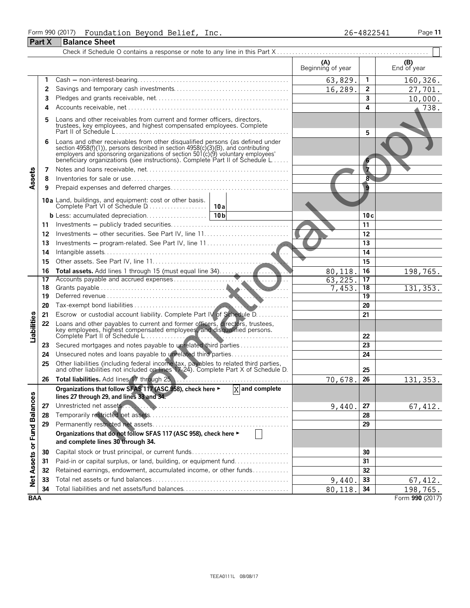# Form 990 (2017) Foundation Beyond Belief, Inc.<br>Part X Balance Sheet

|                             |    |                                                                                                                                                                                                                                                                                                                      | (A)<br>Beginning of year |                 | $( B )$<br>End of year |
|-----------------------------|----|----------------------------------------------------------------------------------------------------------------------------------------------------------------------------------------------------------------------------------------------------------------------------------------------------------------------|--------------------------|-----------------|------------------------|
|                             | 1  |                                                                                                                                                                                                                                                                                                                      | 63,829.                  | 1               | 160,326.               |
|                             | 2  |                                                                                                                                                                                                                                                                                                                      | 16,289.                  | $\overline{2}$  | 27,701.                |
|                             | 3  |                                                                                                                                                                                                                                                                                                                      |                          | 3               | 10,000.                |
|                             | 4  |                                                                                                                                                                                                                                                                                                                      |                          | 4               | 738.                   |
|                             | 5  | Loans and other receivables from current and former officers, directors, trustees, key employees, and highest compensated employees. Complete                                                                                                                                                                        |                          |                 |                        |
|                             |    | Loans and other receivables from other disqualified persons (as defined under<br>section 4958(f)(1)), persons described in section 4958(c)(3)(B), and contributing<br>employers and sponsoring organizations of section 501(c)(9) voluntary employees'<br>beneficiary organizations (see instructions). Complete Par |                          | 5               |                        |
|                             | 7  |                                                                                                                                                                                                                                                                                                                      |                          | 7               |                        |
|                             | 8  |                                                                                                                                                                                                                                                                                                                      |                          | 8               |                        |
| Assets                      | 9  |                                                                                                                                                                                                                                                                                                                      |                          | 9               |                        |
|                             |    |                                                                                                                                                                                                                                                                                                                      |                          |                 |                        |
|                             |    | <b>10a</b> Land, buildings, and equipment: cost or other basis.                                                                                                                                                                                                                                                      |                          |                 |                        |
|                             |    |                                                                                                                                                                                                                                                                                                                      |                          | 10c             |                        |
|                             | 11 |                                                                                                                                                                                                                                                                                                                      |                          | 11              |                        |
|                             | 12 |                                                                                                                                                                                                                                                                                                                      |                          | 12              |                        |
|                             | 13 |                                                                                                                                                                                                                                                                                                                      |                          | 13              |                        |
|                             | 14 |                                                                                                                                                                                                                                                                                                                      |                          | 14              |                        |
|                             | 15 |                                                                                                                                                                                                                                                                                                                      |                          | 15              |                        |
|                             | 16 |                                                                                                                                                                                                                                                                                                                      | 80,118                   | 16              | 198,765.               |
|                             | 17 | Accounts payable and accrued expenses<br>$\mathbf{r}$                                                                                                                                                                                                                                                                | 63,225.                  | 17              |                        |
|                             | 18 |                                                                                                                                                                                                                                                                                                                      | 7,453.                   | 18              | 131, 353.              |
|                             | 19 |                                                                                                                                                                                                                                                                                                                      |                          | $\overline{19}$ |                        |
|                             | 20 |                                                                                                                                                                                                                                                                                                                      |                          | 20              |                        |
|                             | 21 | Escrow or custodial account liability. Complete Part IV of Schedule D.                                                                                                                                                                                                                                               |                          | 21              |                        |
| <b>Liabilities</b>          | 22 | Loans and other payables to current and former officers, directors, trustees, key employees, highest compensated employees, and disqualitied persons.                                                                                                                                                                |                          | 22              |                        |
|                             | 23 | Secured mortgages and notes payable to unrelated third parties                                                                                                                                                                                                                                                       |                          | 23              |                        |
|                             | 24 | Unsecured notes and loans payable to unrelated third parties                                                                                                                                                                                                                                                         |                          | 24              |                        |
|                             | 25 | Other liabilities (including federal income tax, payables to related third parties, and other liabilities not included on tines 17-24). Complete Part X of Schedule D.                                                                                                                                               |                          | 25              |                        |
|                             | 26 |                                                                                                                                                                                                                                                                                                                      | 70,678.                  | 26              | 131, 353.              |
|                             |    | Organizations that follow SFAS 117 (ASC 958), check here $\blacktriangleright$ $\boxed{X}$ and complete                                                                                                                                                                                                              |                          |                 |                        |
|                             |    | lines 27 through 29, and lines 33 and 34.                                                                                                                                                                                                                                                                            |                          |                 |                        |
|                             | 27 |                                                                                                                                                                                                                                                                                                                      | 9,440.                   | 27              | 67,412.                |
|                             | 28 |                                                                                                                                                                                                                                                                                                                      |                          | 28              |                        |
|                             | 29 |                                                                                                                                                                                                                                                                                                                      |                          | 29              |                        |
| Net Assets or Fund Balances |    | Organizations that do not follow SFAS 117 (ASC 958), check here ►<br>and complete lines 30 through 34.                                                                                                                                                                                                               |                          |                 |                        |
|                             | 30 | Capital stock or trust principal, or current funds                                                                                                                                                                                                                                                                   |                          | 30              |                        |
|                             | 31 | Paid-in or capital surplus, or land, building, or equipment fund                                                                                                                                                                                                                                                     |                          | 31              |                        |
|                             | 32 | Retained earnings, endowment, accumulated income, or other funds                                                                                                                                                                                                                                                     |                          | 32              |                        |
|                             | 33 |                                                                                                                                                                                                                                                                                                                      | 9,440.                   | 33              | 67, 412.               |
|                             | 34 | Total liabilities and net assets/fund balances                                                                                                                                                                                                                                                                       | 80,118                   | 34              | 198,765.               |
| <b>BAA</b>                  |    |                                                                                                                                                                                                                                                                                                                      |                          |                 | Form 990 (2017)        |

26-4822541

Page 11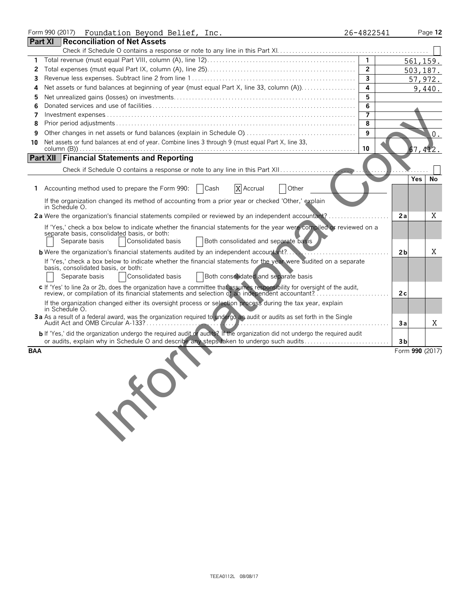|     | Form 990 (2017) Foundation Beyond Belief, Inc.<br>26-4822541                                                                                                                                                                                         |                |                 | Page 12 |
|-----|------------------------------------------------------------------------------------------------------------------------------------------------------------------------------------------------------------------------------------------------------|----------------|-----------------|---------|
|     | <b>Part XI Reconciliation of Net Assets</b>                                                                                                                                                                                                          |                |                 |         |
|     |                                                                                                                                                                                                                                                      |                |                 |         |
| 1   |                                                                                                                                                                                                                                                      | $\mathbf{1}$   | 561,159.        |         |
| 2   | $\overline{2}$                                                                                                                                                                                                                                       |                | 503, 187.       |         |
| 3   | $\mathbf{3}$                                                                                                                                                                                                                                         |                |                 | 57,972. |
| 4   | 4<br>Net assets or fund balances at beginning of year (must equal Part X, line 33, column (A)).                                                                                                                                                      |                |                 | 9,440.  |
| 5   |                                                                                                                                                                                                                                                      | 5              |                 |         |
| 6   |                                                                                                                                                                                                                                                      | 6              |                 |         |
| 7   |                                                                                                                                                                                                                                                      | $\overline{7}$ |                 |         |
| 8   | 8                                                                                                                                                                                                                                                    |                |                 |         |
| 9   | 9                                                                                                                                                                                                                                                    |                |                 | .0      |
| 10  | Net assets or fund balances at end of year. Combine lines 3 through 9 (must equal Part X, line 33,<br>10                                                                                                                                             |                |                 | 67,412. |
|     | <b>Part XII Financial Statements and Reporting</b>                                                                                                                                                                                                   |                |                 |         |
|     |                                                                                                                                                                                                                                                      |                |                 |         |
|     |                                                                                                                                                                                                                                                      |                | Yes             | No      |
| 1.  | Accounting method used to prepare the Form 990:<br>X Accrual<br>  Cash<br>Other                                                                                                                                                                      |                |                 |         |
|     | If the organization changed its method of accounting from a prior year or checked 'Other,' explain<br>in Schedule O.                                                                                                                                 |                |                 |         |
|     | 2a Were the organization's financial statements compiled or reviewed by an independent accountant?                                                                                                                                                   |                | 2a              | Χ       |
|     | If 'Yes,' check a box below to indicate whether the financial statements for the year were compiled or reviewed on a<br>separate basis, consolidated basis, or both:<br>Consolidated basis<br>Both consolidated and separate basis<br>Separate basis |                |                 |         |
|     | <b>b</b> Were the organization's financial statements audited by an independent accountant?                                                                                                                                                          |                | 2 <sub>b</sub>  | Χ       |
|     | If 'Yes,' check a box below to indicate whether the financial statements for the year were audited on a separate                                                                                                                                     |                |                 |         |
|     | basis, consolidated basis, or both:<br>Both consolidated and separate basis<br>Consolidated basis<br>Separate basis                                                                                                                                  |                |                 |         |
|     |                                                                                                                                                                                                                                                      |                |                 |         |
|     | c If 'Yes' to line 2a or 2b, does the organization have a committee that assumes responsibility for oversight of the audit,<br>review, or compilation of its financial statements and selection of an independent accountant?                        |                | 2c              |         |
|     | If the organization changed either its oversight process or selection process during the tax year, explain<br>in Schedule O.                                                                                                                         |                |                 |         |
|     | 3a As a result of a federal award, was the organization required to undergo an audit or audits as set forth in the Single                                                                                                                            |                | Зa              | Χ       |
|     | b If 'Yes,' did the organization undergo the required audit or audits? If the organization did not undergo the required audit<br>or audits, explain why in Schedule O and describe any steps taken to undergo such audits                            |                | 3b              |         |
| BAA |                                                                                                                                                                                                                                                      |                | Form 990 (2017) |         |
|     | FRON                                                                                                                                                                                                                                                 |                |                 |         |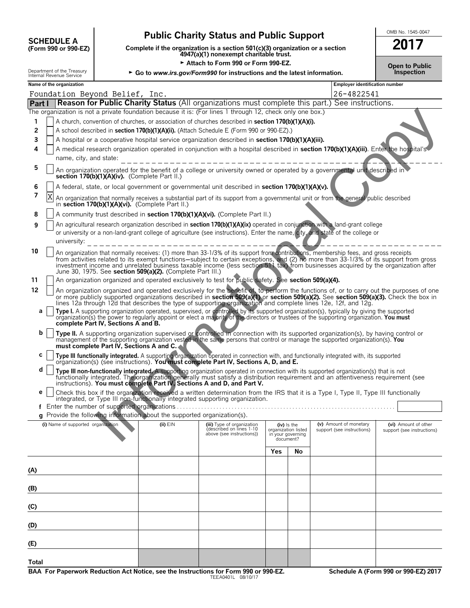| <b>SCHEDULE A</b> |                      |
|-------------------|----------------------|
|                   | (Form 990 or 990-EZ) |

Department of the Treasury<br>Internal Revenue Service

## **Public Charity Status and Public Support**

Complete if the organization is a section 501(c)(3) organization or a section<br>4947(a)(1) nonexempt charitable trust.

Attach to Form 990 or Form 990-EZ.

**Open to Public<br>Inspection** 

OMB No. 1545-0047 2017

| ► Go to www.irs.gov/Form990 for instructions and the latest information. |
|--------------------------------------------------------------------------|
|--------------------------------------------------------------------------|

|                     | Name of the organization<br><b>Employer identification number</b>                                                                                                                               |                                                                                                                                                                                                                                                                                                                                                                                                                                                                                  |  |                                                       |                                                       |    |                            |                                                    |  |
|---------------------|-------------------------------------------------------------------------------------------------------------------------------------------------------------------------------------------------|----------------------------------------------------------------------------------------------------------------------------------------------------------------------------------------------------------------------------------------------------------------------------------------------------------------------------------------------------------------------------------------------------------------------------------------------------------------------------------|--|-------------------------------------------------------|-------------------------------------------------------|----|----------------------------|----------------------------------------------------|--|
|                     | Foundation Beyond Belief, Inc.<br>26-4822541                                                                                                                                                    |                                                                                                                                                                                                                                                                                                                                                                                                                                                                                  |  |                                                       |                                                       |    |                            |                                                    |  |
| Part I              |                                                                                                                                                                                                 | <b>Reason for Public Charity Status</b> (All organizations must complete this part.) See instructions.                                                                                                                                                                                                                                                                                                                                                                           |  |                                                       |                                                       |    |                            |                                                    |  |
|                     |                                                                                                                                                                                                 | The organization is not a private foundation because it is: (For lines 1 through 12, check only one box.)                                                                                                                                                                                                                                                                                                                                                                        |  |                                                       |                                                       |    |                            |                                                    |  |
| 1                   |                                                                                                                                                                                                 | A church, convention of churches, or association of churches described in section 170(b)(1)(A)(i).                                                                                                                                                                                                                                                                                                                                                                               |  |                                                       |                                                       |    |                            |                                                    |  |
| 2                   |                                                                                                                                                                                                 | A school described in section 170(b)(1)(A)(ii). (Attach Schedule E (Form 990 or 990-EZ).)                                                                                                                                                                                                                                                                                                                                                                                        |  |                                                       |                                                       |    |                            |                                                    |  |
| 3                   |                                                                                                                                                                                                 | A hospital or a cooperative hospital service organization described in section 170(b)(1)(A)(iii).                                                                                                                                                                                                                                                                                                                                                                                |  |                                                       |                                                       |    |                            |                                                    |  |
| 4                   |                                                                                                                                                                                                 | A medical research organization operated in conjunction with a hospital described in section 170(b)(1)(A)(iii). Enter the hospital's                                                                                                                                                                                                                                                                                                                                             |  |                                                       |                                                       |    |                            |                                                    |  |
|                     |                                                                                                                                                                                                 | name, city, and state:                                                                                                                                                                                                                                                                                                                                                                                                                                                           |  |                                                       |                                                       |    |                            |                                                    |  |
| 5                   | An organization operated for the benefit of a college or university owned or operated by a governmental unit described in<br>section 170(b)(1)(A)(iv). (Complete Part II.)                      |                                                                                                                                                                                                                                                                                                                                                                                                                                                                                  |  |                                                       |                                                       |    |                            |                                                    |  |
| 6                   |                                                                                                                                                                                                 | A federal, state, or local government or governmental unit described in section 170(b)(1)(A)(v).                                                                                                                                                                                                                                                                                                                                                                                 |  |                                                       |                                                       |    |                            |                                                    |  |
| 7                   | Χ<br>An organization that normally receives a substantial part of its support from a governmental unit or from the general public described<br>in section 170(b)(1)(A)(vi). (Complete Part II.) |                                                                                                                                                                                                                                                                                                                                                                                                                                                                                  |  |                                                       |                                                       |    |                            |                                                    |  |
| 8                   |                                                                                                                                                                                                 | A community trust described in section 170(b)(1)(A)(vi). (Complete Part II.)                                                                                                                                                                                                                                                                                                                                                                                                     |  |                                                       |                                                       |    |                            |                                                    |  |
| 9                   |                                                                                                                                                                                                 | An agricultural research organization described in section 170(b)(1)(A)(ix) operated in conjunction with a land-grant college                                                                                                                                                                                                                                                                                                                                                    |  |                                                       |                                                       |    |                            |                                                    |  |
|                     |                                                                                                                                                                                                 | or university or a non-land-grant college of agriculture (see instructions). Enter the name, city, and state of the college or                                                                                                                                                                                                                                                                                                                                                   |  |                                                       |                                                       |    |                            |                                                    |  |
|                     |                                                                                                                                                                                                 | university:                                                                                                                                                                                                                                                                                                                                                                                                                                                                      |  |                                                       |                                                       |    |                            |                                                    |  |
| 10                  |                                                                                                                                                                                                 | An organization that normally receives: (1) more than 33-1/3% of its support from contributions, membership fees, and gross receipts<br>from activities related to its exempt functions-subject to certain exceptions, and (2) no more than 33-1/3% of its support from gross<br>investment income and unrelated business taxable income (less section 511 tax) from businesses acquired by the organization after<br>June 30, 1975. See section 509(a)(2). (Complete Part III.) |  |                                                       |                                                       |    |                            |                                                    |  |
| 11                  |                                                                                                                                                                                                 | An organization organized and operated exclusively to test for public safety. See section 509(a)(4).                                                                                                                                                                                                                                                                                                                                                                             |  |                                                       |                                                       |    |                            |                                                    |  |
| 12                  |                                                                                                                                                                                                 | An organization organized and operated exclusively for the benefit of, to perform the functions of, or to carry out the purposes of one<br>or more publicly supported organizations described in section 509(a)(1) or section 509(a)(2). See section 509(a)(3). Check the box in                                                                                                                                                                                                 |  |                                                       |                                                       |    |                            |                                                    |  |
| а                   |                                                                                                                                                                                                 | lines 12a through 12d that describes the type of supporting organization and complete lines 12e, 12f, and 12g.<br>Type I. A supporting organization operated, supervised, or controlled by its supported organization(s), typically by giving the supported organization(s) the power to regularly appoint or elect a majority of the directors                                                                                                                                  |  |                                                       |                                                       |    |                            |                                                    |  |
|                     |                                                                                                                                                                                                 | complete Part IV, Sections A and B.                                                                                                                                                                                                                                                                                                                                                                                                                                              |  |                                                       |                                                       |    |                            |                                                    |  |
| b                   |                                                                                                                                                                                                 | Type II. A supporting organization supervised or controlled in connection with its supported organization(s), by having control or<br>management of the supporting organization vested in the same persons that control or manage the supported organization(s). You<br>must complete Part IV, Sections A and C.                                                                                                                                                                 |  |                                                       |                                                       |    |                            |                                                    |  |
| c                   |                                                                                                                                                                                                 | Type III functionally integrated. A supporting organization operated in connection with, and functionally integrated with, its supported<br>organization(s) (see instructions). You must complete Part IV, Sections A, D, and E.                                                                                                                                                                                                                                                 |  |                                                       |                                                       |    |                            |                                                    |  |
| d                   |                                                                                                                                                                                                 | Type III non-functionally integrated. A supporting organization operated in connection with its supported organization(s) that is not<br>functionally integrated. The organization generally must satisfy a distribution requirement and an attentiveness requirement (see instructions). You must complete Part IV, Sections A and D, and Part V.                                                                                                                               |  |                                                       |                                                       |    |                            |                                                    |  |
| e                   |                                                                                                                                                                                                 | Check this box if the organization received a written determination from the IRS that it is a Type I, Type II, Type III functionally                                                                                                                                                                                                                                                                                                                                             |  |                                                       |                                                       |    |                            |                                                    |  |
|                     |                                                                                                                                                                                                 | integrated, or Type III non-functionally integrated supporting organization.                                                                                                                                                                                                                                                                                                                                                                                                     |  |                                                       |                                                       |    |                            |                                                    |  |
|                     |                                                                                                                                                                                                 | f Enter the number of supported organizations                                                                                                                                                                                                                                                                                                                                                                                                                                    |  |                                                       |                                                       |    |                            |                                                    |  |
|                     |                                                                                                                                                                                                 | g Provide the following information about the supported organization(s).<br>(i) Name of supported organization (ii) EIN                                                                                                                                                                                                                                                                                                                                                          |  | (iii) Type of organization                            | (iv) Is the                                           |    | (v) Amount of monetary     |                                                    |  |
|                     |                                                                                                                                                                                                 |                                                                                                                                                                                                                                                                                                                                                                                                                                                                                  |  | (described on lines 1-10<br>above (see instructions)) | organization listed<br>in your governing<br>document? |    | support (see instructions) | (vi) Amount of other<br>support (see instructions) |  |
|                     |                                                                                                                                                                                                 |                                                                                                                                                                                                                                                                                                                                                                                                                                                                                  |  |                                                       | Yes                                                   | No |                            |                                                    |  |
|                     |                                                                                                                                                                                                 |                                                                                                                                                                                                                                                                                                                                                                                                                                                                                  |  |                                                       |                                                       |    |                            |                                                    |  |
| (A)                 |                                                                                                                                                                                                 |                                                                                                                                                                                                                                                                                                                                                                                                                                                                                  |  |                                                       |                                                       |    |                            |                                                    |  |
|                     |                                                                                                                                                                                                 |                                                                                                                                                                                                                                                                                                                                                                                                                                                                                  |  |                                                       |                                                       |    |                            |                                                    |  |
| (B)                 |                                                                                                                                                                                                 |                                                                                                                                                                                                                                                                                                                                                                                                                                                                                  |  |                                                       |                                                       |    |                            |                                                    |  |
|                     |                                                                                                                                                                                                 |                                                                                                                                                                                                                                                                                                                                                                                                                                                                                  |  |                                                       |                                                       |    |                            |                                                    |  |
| (C)                 |                                                                                                                                                                                                 |                                                                                                                                                                                                                                                                                                                                                                                                                                                                                  |  |                                                       |                                                       |    |                            |                                                    |  |
| (D)                 |                                                                                                                                                                                                 |                                                                                                                                                                                                                                                                                                                                                                                                                                                                                  |  |                                                       |                                                       |    |                            |                                                    |  |
| (E)                 |                                                                                                                                                                                                 |                                                                                                                                                                                                                                                                                                                                                                                                                                                                                  |  |                                                       |                                                       |    |                            |                                                    |  |
|                     |                                                                                                                                                                                                 |                                                                                                                                                                                                                                                                                                                                                                                                                                                                                  |  |                                                       |                                                       |    |                            |                                                    |  |
| Total<br><b>DAA</b> | Calcedule A (Feuro 000 ex 000 F7) 2017<br>$0.00 - 0.00$ $F7$                                                                                                                                    |                                                                                                                                                                                                                                                                                                                                                                                                                                                                                  |  |                                                       |                                                       |    |                            |                                                    |  |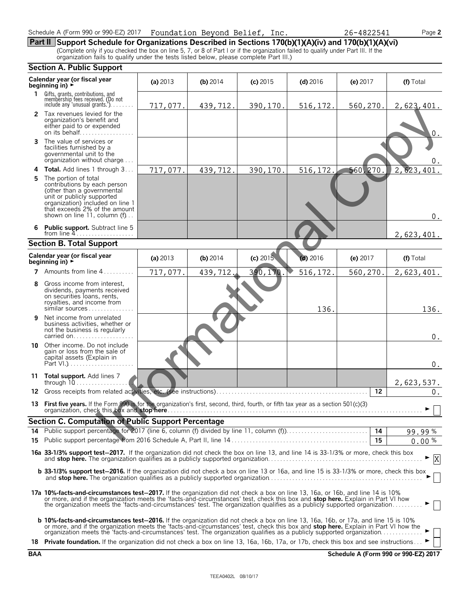| Schedule A (Form 990 or 990-EZ) 2017  Foundation Beyond Belief, Inc. |  |  |  |  |
|----------------------------------------------------------------------|--|--|--|--|
|----------------------------------------------------------------------|--|--|--|--|

**Part II** Support Schedule for Organizations Described in Sections 170(b)(1)(A)(iv) and 170(b)(1)(A)(vi) (Complete only if you checked the box on line 5, 7, or 8 of Part I or if the organization failed to qualify under Par

|            | Section A. Public Support                                                                                                                                                                                                                                                                                                                                                                       |            |            |            |            |           |                                      |  |  |
|------------|-------------------------------------------------------------------------------------------------------------------------------------------------------------------------------------------------------------------------------------------------------------------------------------------------------------------------------------------------------------------------------------------------|------------|------------|------------|------------|-----------|--------------------------------------|--|--|
|            | Calendar year (or fiscal year<br>beginning in) $\rightarrow$                                                                                                                                                                                                                                                                                                                                    | (a) $2013$ | (b) $2014$ | $(c)$ 2015 | $(d)$ 2016 | (e) 2017  | (f) Total                            |  |  |
| 1.         | Gifts, grants, contributions, and<br>membership fees received. (Do not<br>include any 'unusual grants.'). $\dots$                                                                                                                                                                                                                                                                               | 717,077.   | 439,712.   | 390,170.   | 516, 172.  | 560,270.  | 2,623,401.                           |  |  |
|            | 2 Tax revenues levied for the<br>organization's benefit and<br>either paid to or expended<br>on its behalf                                                                                                                                                                                                                                                                                      |            |            |            |            |           | $0$ .                                |  |  |
| 3          | The value of services or<br>facilities furnished by a<br>governmental unit to the<br>organization without charge                                                                                                                                                                                                                                                                                |            |            |            |            |           | 0.                                   |  |  |
| 4          | Total. Add lines 1 through 3                                                                                                                                                                                                                                                                                                                                                                    | 717,077.   | 439,712.   | 390,170.   | 516, 172.  | 560, 270. | 2,623,401.                           |  |  |
| 5          | The portion of total<br>contributions by each person<br>(other than a governmental<br>unit or publicly supported<br>organization) included on line 1<br>that exceeds 2% of the amount<br>shown on line 11, column (f)                                                                                                                                                                           |            |            |            |            |           | 0.                                   |  |  |
| 6          | <b>Public support.</b> Subtract line 5<br>from line $4$                                                                                                                                                                                                                                                                                                                                         |            |            |            |            |           | 2,623,401.                           |  |  |
|            | <b>Section B. Total Support</b>                                                                                                                                                                                                                                                                                                                                                                 |            |            |            |            |           |                                      |  |  |
|            | Calendar year (or fiscal year<br>beginning in) $\rightarrow$                                                                                                                                                                                                                                                                                                                                    | (a) $2013$ | $(b)$ 2014 | (c) 2015   | $(d)$ 2016 | (e) 2017  | (f) Total                            |  |  |
| 7          | Amounts from line 4                                                                                                                                                                                                                                                                                                                                                                             | 717,077.   | 439,712.   | 390,170.   | 516, 172.  | 560,270.  | $\overline{2}$ , 623, 401.           |  |  |
| 8          | Gross income from interest,<br>dividends, payments received<br>on securities loans, rents,<br>royalties, and income from<br>similar sources                                                                                                                                                                                                                                                     |            |            |            | 136.       |           | 136.                                 |  |  |
| 9          | Net income from unrelated<br>business activities, whether or<br>not the business is regularly<br>carried on                                                                                                                                                                                                                                                                                     |            |            |            |            |           | $0$ .                                |  |  |
|            | <b>10</b> Other income. Do not include<br>gain or loss from the sale of<br>capital assets (Explain in<br>Part VI.)                                                                                                                                                                                                                                                                              |            |            |            |            |           | $0$ .                                |  |  |
|            | 11 Total support. Add lines 7<br>through $10$                                                                                                                                                                                                                                                                                                                                                   |            |            |            |            |           | 2,623,537.                           |  |  |
| 12         |                                                                                                                                                                                                                                                                                                                                                                                                 |            |            |            |            | 12        | $0$ .                                |  |  |
| 13.        | First five years. If the Form 990 is for the organization's first, second, third, fourth, or fifth tax year as a section 501(c)(3)                                                                                                                                                                                                                                                              |            |            |            |            |           |                                      |  |  |
|            | <b>Section C. Computation of Public Support Percentage</b>                                                                                                                                                                                                                                                                                                                                      |            |            |            |            |           |                                      |  |  |
| 14<br>15   |                                                                                                                                                                                                                                                                                                                                                                                                 |            |            |            |            | 15        | 99.99%<br>$0.00\%$                   |  |  |
|            | 16a 33-1/3% support test-2017. If the organization did not check the box on line 13, and line 14 is 33-1/3% or more, check this box                                                                                                                                                                                                                                                             |            |            |            |            |           | $\mathbf X$                          |  |  |
|            | <b>b 33-1/3% support test-2016.</b> If the organization did not check a box on line 13 or 16a, and line 15 is 33-1/3% or more, check this box                                                                                                                                                                                                                                                   |            |            |            |            |           |                                      |  |  |
|            | 17a 10%-facts-and-circumstances test-2017. If the organization did not check a box on line 13, 16a, or 16b, and line 14 is 10%<br>or more, and if the organization meets the 'facts-and-circumstances' test, check this box and stop here. Explain in Part VI how<br>the organization meets the 'facts-and-circumstances' test. The organization qualifies as a publicly supported organization |            |            |            |            |           |                                      |  |  |
|            | <b>b 10%-facts-and-circumstances test-2016.</b> If the organization did not check a box on line 13, 16a, 16b, or 17a, and line 15 is 10%<br>or more, and if the organization meets the 'facts-and-circumstances' test, check this box and stop here. Explain in Part VI how the organization meets the 'facts-and-circumstances' test. The organization qualifies as a pub                      |            |            |            |            |           |                                      |  |  |
|            | 18 Private foundation. If the organization did not check a box on line 13, 16a, 16b, 17a, or 17b, check this box and see instructions                                                                                                                                                                                                                                                           |            |            |            |            |           |                                      |  |  |
| <b>BAA</b> |                                                                                                                                                                                                                                                                                                                                                                                                 |            |            |            |            |           | Schedule A (Form 990 or 990-EZ) 2017 |  |  |

Schedule A (Form 990 or 990-EZ) 2017

26-4822541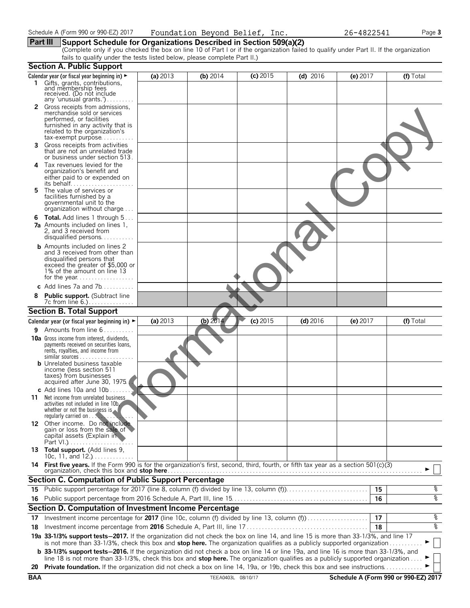**Part III** Support Schedule for Organizations Described in Section 509(a)(2)<br>(Complete only if you checked the box on line 10 of Part I or if the organization failed to qualify under Part II. If the organization fails to qualify under the tests listed below, please complete Part II.)

|    | Section A. Public Support                                                                                                                                     |          |            |            |            |          |           |
|----|---------------------------------------------------------------------------------------------------------------------------------------------------------------|----------|------------|------------|------------|----------|-----------|
|    | Calendar year (or fiscal year beginning in) $\blacktriangleright$                                                                                             | (a) 2013 | (b) $2014$ | $(c)$ 2015 | $(d)$ 2016 | (e) 2017 | (f) Total |
| 1. | Gifts, grants, contributions,<br>and membership fees                                                                                                          |          |            |            |            |          |           |
|    | received. (Do not include<br>any 'unusual grants.')                                                                                                           |          |            |            |            |          |           |
| 2  | Gross receipts from admissions,                                                                                                                               |          |            |            |            |          |           |
|    | merchandise sold or services<br>performed, or facilities                                                                                                      |          |            |            |            |          |           |
|    | furnished in any activity that is                                                                                                                             |          |            |            |            |          |           |
|    | related to the organization's                                                                                                                                 |          |            |            |            |          |           |
| 3. | tax-exempt purpose<br>Gross receipts from activities                                                                                                          |          |            |            |            |          |           |
|    | that are not an unrelated trade                                                                                                                               |          |            |            |            |          |           |
| 4  | or business under section 513.<br>Tax revenues levied for the                                                                                                 |          |            |            |            |          |           |
|    | organization's benefit and                                                                                                                                    |          |            |            |            |          |           |
|    | either paid to or expended on                                                                                                                                 |          |            |            |            |          |           |
| 5  | The value of services or                                                                                                                                      |          |            |            |            |          |           |
|    | facilities furnished by a<br>governmental unit to the                                                                                                         |          |            |            |            |          |           |
|    | organization without charge                                                                                                                                   |          |            |            |            |          |           |
| 6  | <b>Total.</b> Add lines 1 through 5                                                                                                                           |          |            |            |            |          |           |
|    | <b>7a</b> Amounts included on lines 1,<br>2, and 3 received from                                                                                              |          |            |            |            |          |           |
|    | disqualified persons                                                                                                                                          |          |            |            |            |          |           |
|    | <b>b</b> Amounts included on lines 2                                                                                                                          |          |            |            |            |          |           |
|    | and 3 received from other than<br>disqualified persons that                                                                                                   |          |            |            |            |          |           |
|    | exceed the greater of \$5,000 or<br>1% of the amount on line 13                                                                                               |          |            |            |            |          |           |
|    |                                                                                                                                                               |          |            |            |            |          |           |
|    | c Add lines $7a$ and $7b$                                                                                                                                     |          |            |            |            |          |           |
| 8  | <b>Public support.</b> (Subtract line                                                                                                                         |          |            |            |            |          |           |
|    | 7c from line 6.)<br><b>Section B. Total Support</b>                                                                                                           |          |            |            |            |          |           |
|    |                                                                                                                                                               | (a) 2013 | (b) $2014$ | $(c)$ 2015 |            |          |           |
| 9  | Calendar year (or fiscal year beginning in) ►<br>Amounts from line 6                                                                                          |          |            |            | $(d)$ 2016 | (e) 2017 | (f) Total |
|    | <b>10a</b> Gross income from interest, dividends,                                                                                                             |          |            |            |            |          |           |
|    | payments received on securities loans,                                                                                                                        |          |            |            |            |          |           |
|    | rents, royalties, and income from<br>similar sources                                                                                                          |          |            |            |            |          |           |
|    | <b>b</b> Unrelated business taxable                                                                                                                           |          |            |            |            |          |           |
|    | income (less section 511<br>taxes) from businesses                                                                                                            |          |            |            |            |          |           |
|    | acquired after June 30, 1975                                                                                                                                  |          |            |            |            |          |           |
|    | c Add lines 10a and 10b                                                                                                                                       |          |            |            |            |          |           |
| 11 | Net income from unrelated business<br>activities not included in line 10b.                                                                                    |          |            |            |            |          |           |
|    | whether or not the business is $\sim$                                                                                                                         |          |            |            |            |          |           |
|    | regularly carried on<br>12 Other income. Do not include                                                                                                       |          |            |            |            |          |           |
|    | gain or loss from the sale of                                                                                                                                 |          |            |            |            |          |           |
|    | capital assets (Explain in<br>Part VI.)                                                                                                                       |          |            |            |            |          |           |
|    | 13 Total support. (Add lines 9,                                                                                                                               |          |            |            |            |          |           |
|    | 10c, 11, and $12.$ )<br>14 First five years. If the Form 990 is for the organization's first, second, third, fourth, or fifth tax year as a section 501(c)(3) |          |            |            |            |          |           |
|    |                                                                                                                                                               |          |            |            |            |          |           |
|    | <b>Section C. Computation of Public Support Percentage</b>                                                                                                    |          |            |            |            |          |           |
| 15 | Public support percentage for 2017 (line 8, column (f) divided by line 13, column (f)                                                                         |          |            |            |            | 15       | g,        |
| 16 |                                                                                                                                                               |          |            |            |            | 16       | ०७        |
|    | Section D. Computation of Investment Income Percentage                                                                                                        |          |            |            |            | 17       |           |
| 17 | Investment income percentage for 2017 (line 10c, column (f) divided by line 13, column (f)                                                                    |          |            |            |            | 18       | g,<br>४   |
| 18 | 19a 33-1/3% support tests-2017. If the organization did not check the box on line 14, and line 15 is more than 33-1/3%, and line 17                           |          |            |            |            |          |           |
|    | is not more than 33-1/3%, check this box and stop here. The organization qualifies as a publicly supported organization                                       |          |            |            |            |          |           |
|    | <b>b</b> 33-1/3% support tests-2016. If the organization did not check a box on line 14 or line 19a, and line 16 is more than 33-1/3%, and                    |          |            |            |            |          |           |
|    | line 18 is not more than 33-1/3%, check this box and stop here. The organization qualifies as a publicly supported organization                               |          |            |            |            |          |           |
|    | 20 Private foundation. If the organization did not check a box on line 14, 19a, or 19b, check this box and see instructions                                   |          |            |            |            |          |           |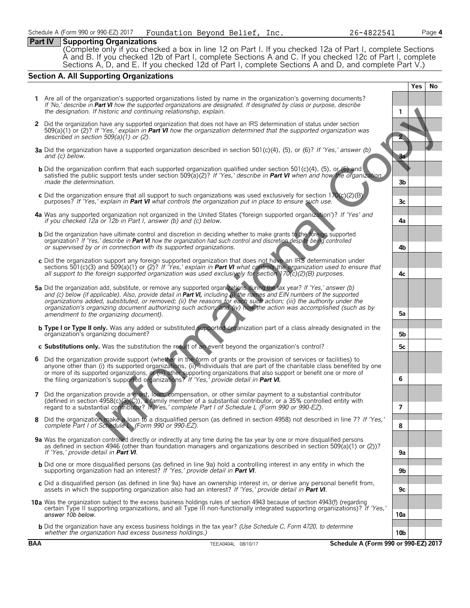26-4822541

Page 4

#### **Part IV | Supporting Organizations**

Complete only if you checked a box in line 12 on Part I. If you checked 12a of Part I, complete Sections A and B. If you checked 12b of Part I, complete Sections A and C. If you checked 12c of Part I, complete Sections A,

#### **Section A. All Supporting Organizations**

|              |                                                                                                                                                                                                                                                                                                                                                                                                                                                                                                                                          |                 | <b>Yes</b> | No |
|--------------|------------------------------------------------------------------------------------------------------------------------------------------------------------------------------------------------------------------------------------------------------------------------------------------------------------------------------------------------------------------------------------------------------------------------------------------------------------------------------------------------------------------------------------------|-----------------|------------|----|
|              | 1 Are all of the organization's supported organizations listed by name in the organization's governing documents?<br>If 'No,' describe in Part VI how the supported organizations are designated. If designated by class or purpose, describe<br>the designation. If historic and continuing relationship, explain.                                                                                                                                                                                                                      | 1               |            |    |
| $\mathbf{2}$ | Did the organization have any supported organization that does not have an IRS determination of status under section<br>$509(a)(1)$ or (2)? If 'Yes,' explain in Part VI how the organization determined that the supported organization was<br>described in section $509(a)(1)$ or (2).                                                                                                                                                                                                                                                 |                 |            |    |
|              | <b>3a</b> Did the organization have a supported organization described in section 501(c)(4), (5), or (6)? If 'Yes,' answer (b)<br>and (c) below.                                                                                                                                                                                                                                                                                                                                                                                         | <b>3a</b>       |            |    |
|              | <b>b</b> Did the organization confirm that each supported organization qualified under section 501(c)(4), (5), or (6) and<br>satisfied the public support tests under section 509(a)(2)? If 'Yes,' describe in Part VI when and how the organization<br>made the determination.                                                                                                                                                                                                                                                          | 3b              |            |    |
|              | c Did the organization ensure that all support to such organizations was used exclusively for section $170(c)(2)(B)$<br>purposes? If 'Yes,' explain in <b>Part VI</b> what controls the organization put in place to ensure such use.                                                                                                                                                                                                                                                                                                    | 3c              |            |    |
|              | 4a Was any supported organization not organized in the United States ('foreign supported organization')? If 'Yes' and<br>if you checked 12a or 12b in Part I, answer (b) and (c) below.                                                                                                                                                                                                                                                                                                                                                  | 4a              |            |    |
|              | <b>b</b> Did the organization have ultimate control and discretion in deciding whether to make grants to the foreign supported<br>organization? If 'Yes,' describe in Part VI how the organization had such control and discretion despite being controlled<br>or supervised by or in connection with its supported organizations.                                                                                                                                                                                                       | 4b              |            |    |
|              | c Did the organization support any foreign supported organization that does not have an IRS determination under<br>sections 501(c)(3) and 509(a)(1) or (2)? If 'Yes,' explain in <b>Part VI</b> what controls the organization used to ensure that<br>all support to the foreign supported organization was used exclusively for section $170(c)(2)(B)$ purposes.                                                                                                                                                                        | 4с              |            |    |
|              | 5a Did the organization add, substitute, or remove any supported organizations during the tax year? If 'Yes,' answer (b)<br>and (c) below (if applicable). Also, provide detail in Part VI, including (i) the names and EIN numbers of the supported<br>organizations added, substituted, or removed; (ii) the reasons for each such action; (iii) the authority under the<br>organization's organizing document authorizing such action; and (iv) how the action was accomplished (such as by<br>amendment to the organizing document). | 5a              |            |    |
|              | <b>b Type I or Type II only.</b> Was any added or substituted supported organization part of a class already designated in the<br>organization's organizing document?                                                                                                                                                                                                                                                                                                                                                                    | 5b              |            |    |
|              | c Substitutions only. Was the substitution the result of an event beyond the organization's control?                                                                                                                                                                                                                                                                                                                                                                                                                                     | 5c              |            |    |
|              | 6 Did the organization provide support (whether in the form of grants or the provision of services or facilities) to<br>anyone other than (i) its supported organizations, (ii) individuals that are part of the charitable class benefited by one<br>or more of its supported organizations, of (iii) other supporting organizations that also support or benefit one or more of<br>the filing organization's supported organizations? If 'Yes,' provide detail in Part VI.                                                             | 6               |            |    |
|              | 7 Did the organization provide a grant, loan, compensation, or other similar payment to a substantial contributor<br>(defined in section $4958(c)(3)(\zeta)$ ), a family member of a substantial contributor, or a 35% controlled entity with<br>regard to a substantial contributor? If Yes,' complete Part I of Schedule L (Form 990 or 990-EZ).                                                                                                                                                                                       | $\overline{7}$  |            |    |
|              | 8 Did the organization make a loan to a disqualified person (as defined in section 4958) not described in line 7? If 'Yes,'<br>complete Part 1 of Schedule L (Form 990 or 990-EZ).                                                                                                                                                                                                                                                                                                                                                       | ୪               |            |    |
|              | 9a Was the organization controlled directly or indirectly at any time during the tax year by one or more disqualified persons<br>as defined in section 4946 (other than foundation managers and organizations described in section 509(a)(1) or (2))?<br>If 'Yes,' provide detail in Part VI.                                                                                                                                                                                                                                            | 9а              |            |    |
|              | <b>b</b> Did one or more disqualified persons (as defined in line 9a) hold a controlling interest in any entity in which the<br>supporting organization had an interest? If 'Yes,' provide detail in Part VI.                                                                                                                                                                                                                                                                                                                            | 9b              |            |    |
|              | c Did a disqualified person (as defined in line 9a) have an ownership interest in, or derive any personal benefit from,<br>assets in which the supporting organization also had an interest? If 'Yes,' provide detail in Part VI.                                                                                                                                                                                                                                                                                                        | 9с              |            |    |
|              | 10a Was the organization subject to the excess business holdings rules of section 4943 because of section 4943(f) (regarding<br>certain Type II supporting organizations, and all Type III non-functionally integrated supporting organizations)? If 'Yes,'<br>answer 10b below.                                                                                                                                                                                                                                                         | 10a             |            |    |
|              |                                                                                                                                                                                                                                                                                                                                                                                                                                                                                                                                          |                 |            |    |
|              | <b>b</b> Did the organization have any excess business holdings in the tax year? (Use Schedule C, Form 4720, to determine<br>whether the organization had excess business holdings.)                                                                                                                                                                                                                                                                                                                                                     | 10 <sub>b</sub> |            |    |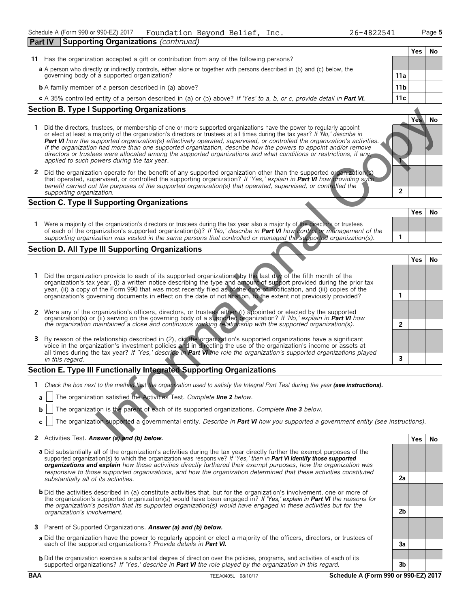Page 5

 $V_{\text{ac}}$   $N_{\text{A}}$ 

Yes

3

Yes

 $2a$ 

 $2<sub>b</sub>$ 

 $\mathbf{a}$ 

 $3<sub>b</sub>$ 

No

**No** 

**Part IV Supporting Organizations (continued)** Yes **No** 11 Has the organization accepted a gift or contribution from any of the following persons? a A person who directly or indirectly controls, either alone or together with persons described in (b) and (c) below, the governing body of a supported organization?  $11a$  $11<sub>b</sub>$ **b** A family member of a person described in (a) above?  $11c$ c A 35% controlled entity of a person described in (a) or (b) above? If 'Yes' to a, b, or c, provide detail in Part VI. **Section B. Type I Supporting Organizations** Yes **No** 1 Did the directors, trustees, or membership of one or more supported organizations have the power to regularly appoint or elect at least a majority of the organization's directors or trustees at all times during the tax year? If No,' describe in **Part VI** how the supported organization(s) effectively operated, supervised, or controlled the organization's activities. If the organization had more than one supported organization, describe how the powers to appoint and/or remove directors or trustees were allocated among the supported organizations and what conditions or restrictions, if any applied to such powers during the tax year. 2 Did the organization operate for the benefit of any supported organization other than the supported organization that operated, supervised, or controlled the supporting organization? If 'Yes,' explain in Part VI how providing suc benefit carried out the purposes of the supported organization(s) that operated, supervised, or controlled the  $\overline{2}$ supporting organization.

#### **Section C. Type II Supporting Organizations**

| Were a majority of the organization's directors or trustees during the tax year also a majority of the directors or trustees                                                                                                                      |  |  |
|---------------------------------------------------------------------------------------------------------------------------------------------------------------------------------------------------------------------------------------------------|--|--|
| of each of the organization's supported organization(s)? If 'No,' describe in <b>Part VI</b> how control or management of the<br>supporting organization was vested in the same persons that controlled or managed the supported organization(s). |  |  |
|                                                                                                                                                                                                                                                   |  |  |

#### **Section D. All Type III Supporting Organizations**

- 1 Did the organization provide to each of its supported organizations, by the last day of the fifth month of the organization's tax year, (i) a written notice describing the type and amount of support provided during the p organization's governing documents in effect on the date of notification, to the extent not previously provided?  $\mathbf{1}$ 2 Were any of the organization's officers, directors, or trustees either (i) appointed or elected by the supported organization(s) or (ii) serving on the governing body of a supported organization? If 'No,' explain in Part  $\mathfrak{p}$
- 3 By reason of the relationship described in (2), did the organization's supported organizations have a significant voice in the organization's investment policies and in directing the use of the organization's income or a all times during the tax year? If 'Yes,' describe in **Part VI**, the role the organization's supported organizations played in this regard.

#### Section E. Type III Functionally Integrated Supporting Organizations

- 1 Check the box next to the method that the organization used to satisfy the Integral Part Test during the year (see instructions).
- The organization satisfied the Activities Test. Complete line 2 below. a
- The organization is the parent of each of its supported organizations. Complete line 3 below.  $\mathbf{h}$
- The organization supported a governmental entity. Describe in Part VI how you supported a government entity (see instructions).  $\mathbf{c}$

#### 2 Activities Test. Answer (a) and (b) below.

- a Did substantially all of the organization's activities during the tax year directly further the exempt purposes of the supported organization(s) to which the organization was responsive? If 'Yes,' then in Part VI identif organizations and explain how these activities directly furthered their exempt purposes, how the organization was responsive to those supported organizations, and how the organization determined that these activities constituted substantially all of its activities.
- **b** Did the activities described in (a) constitute activities that, but for the organization's involvement, one or more of the organization's supported organization(s) would have been engaged in? If 'Yes,' explain in Part VI the reasons for the organization's position that its supported organization(s) would have engaged in these activities but for the organization's involvement.
- 3 Parent of Supported Organizations. Answer (a) and (b) below.
- a Did the organization have the power to regularly appoint or elect a majority of the officers, directors, or trustees of each of the supported organizations? Provide details in Part VI.
- **b** Did the organization exercise a substantial degree of direction over the policies, programs, and activities of each of its supported organizations? If 'Yes,' describe in Part VI the role played by the organization in this regard.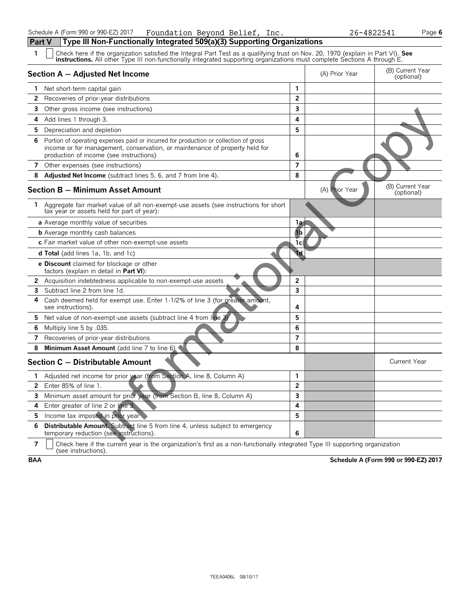| Schedule A (Form 990 or 990-EZ) 2017                                                  | Foundation Beyond Belief, Inc. |  |  |
|---------------------------------------------------------------------------------------|--------------------------------|--|--|
| <b>Part V</b> Type III Non-Functionally Integrated 509(a)(3) Supporting Organizations |                                |  |  |

Page 6

| $\mathbf{1}$ | Check here if the organization satisfied the Integral Part Test as a qualifying trust on Nov. 20, 1970 (explain in Part VI). See<br><b>instructions.</b> All other Type III non-functionally integrated supporting organizations must complete Sections A through E. |                         |                |                                |  |  |  |  |
|--------------|----------------------------------------------------------------------------------------------------------------------------------------------------------------------------------------------------------------------------------------------------------------------|-------------------------|----------------|--------------------------------|--|--|--|--|
|              | Section A - Adjusted Net Income                                                                                                                                                                                                                                      |                         | (A) Prior Year | (B) Current Year<br>(optional) |  |  |  |  |
|              | <b>1</b> Net short-term capital gain                                                                                                                                                                                                                                 | $\mathbf{1}$            |                |                                |  |  |  |  |
| $\mathbf{2}$ | Recoveries of prior-year distributions                                                                                                                                                                                                                               | $\overline{2}$          |                |                                |  |  |  |  |
| 3            | Other gross income (see instructions)                                                                                                                                                                                                                                | 3                       |                |                                |  |  |  |  |
| 4            | Add lines 1 through 3.                                                                                                                                                                                                                                               | 4                       |                |                                |  |  |  |  |
| 5.           | Depreciation and depletion                                                                                                                                                                                                                                           | 5                       |                |                                |  |  |  |  |
|              | 6 Portion of operating expenses paid or incurred for production or collection of gross<br>income or for management, conservation, or maintenance of property held for<br>production of income (see instructions)                                                     | 6                       |                |                                |  |  |  |  |
| $7^{\circ}$  | Other expenses (see instructions)                                                                                                                                                                                                                                    | $\overline{7}$          |                |                                |  |  |  |  |
| 8            | <b>Adjusted Net Income</b> (subtract lines 5, 6, and 7 from line 4).                                                                                                                                                                                                 | 8                       |                |                                |  |  |  |  |
|              | <b>Section B - Minimum Asset Amount</b>                                                                                                                                                                                                                              |                         | (A) Prior Year | (B) Current Year<br>(optional) |  |  |  |  |
| 1.           | Aggregate fair market value of all non-exempt-use assets (see instructions for short<br>tax year or assets held for part of year):                                                                                                                                   |                         |                |                                |  |  |  |  |
|              | a Average monthly value of securities                                                                                                                                                                                                                                | 1a                      |                |                                |  |  |  |  |
|              | <b>b</b> Average monthly cash balances                                                                                                                                                                                                                               | 1b                      |                |                                |  |  |  |  |
|              | c Fair market value of other non-exempt-use assets                                                                                                                                                                                                                   | 1c                      |                |                                |  |  |  |  |
|              | <b>d Total</b> (add lines 1a, 1b, and 1c)                                                                                                                                                                                                                            | 1d                      |                |                                |  |  |  |  |
|              | <b>e Discount</b> claimed for blockage or other<br>factors (explain in detail in Part VI):                                                                                                                                                                           |                         |                |                                |  |  |  |  |
|              | 2 Acquisition indebtedness applicable to non-exempt-use assets                                                                                                                                                                                                       | $\overline{2}$          |                |                                |  |  |  |  |
| 3            | Subtract line 2 from line 1d.                                                                                                                                                                                                                                        | $\overline{\mathbf{3}}$ |                |                                |  |  |  |  |
| 4            | Cash deemed held for exempt use. Enter 1-1/2% of line 3 (for greater amount,<br>see instructions).                                                                                                                                                                   | 4                       |                |                                |  |  |  |  |
| 5            | Net value of non-exempt-use assets (subtract line 4 from line 3)                                                                                                                                                                                                     | 5                       |                |                                |  |  |  |  |
| 6            | Multiply line 5 by .035.                                                                                                                                                                                                                                             | 6                       |                |                                |  |  |  |  |
| 7            | Recoveries of prior-year distributions                                                                                                                                                                                                                               | $\overline{7}$          |                |                                |  |  |  |  |
| 8            | Minimum Asset Amount (add line 7 to line 6)                                                                                                                                                                                                                          | 8                       |                |                                |  |  |  |  |
|              | Section C - Distributable Amount                                                                                                                                                                                                                                     |                         |                | <b>Current Year</b>            |  |  |  |  |
| 1.           | Adjusted net income for prior year (from Section A, line 8, Column A)                                                                                                                                                                                                | 1                       |                |                                |  |  |  |  |
| $\mathbf{2}$ | Enter 85% of line 1.                                                                                                                                                                                                                                                 | $\overline{2}$          |                |                                |  |  |  |  |
| 3            | Minimum asset amount for prior year (from Section B, line 8, Column A)                                                                                                                                                                                               | $\overline{\mathbf{3}}$ |                |                                |  |  |  |  |
| 4            | Enter greater of line 2 or line 3.                                                                                                                                                                                                                                   | 4                       |                |                                |  |  |  |  |
| 5            | Income tax imposed in prior year                                                                                                                                                                                                                                     | 5                       |                |                                |  |  |  |  |
| 6            | Distributable Amount. Subtract line 5 from line 4, unless subject to emergency<br>temporary reduction (see instructions).                                                                                                                                            | 6                       |                |                                |  |  |  |  |

Check here if the current year is the organization's first as a non-functionally integrated Type III supporting organization (see instructions).  $\overline{7}$ 

Schedule A (Form 990 or 990-EZ) 2017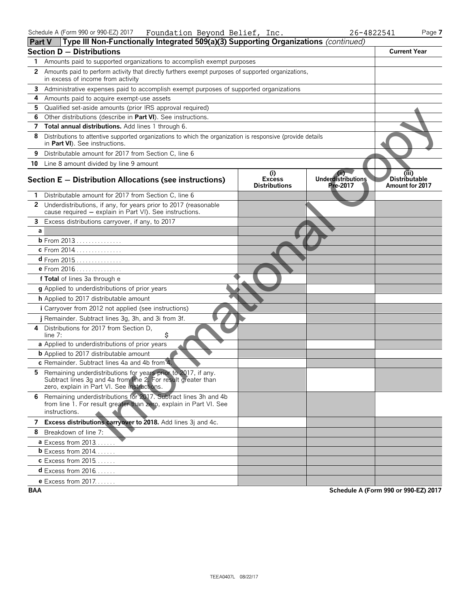| <b>Part V</b>  | $\parallel$ Lype III Non-Functionally integrated 509(a)(3) Supporting Organizations (continued)                                                                               |                                              |                                               |                                           |
|----------------|-------------------------------------------------------------------------------------------------------------------------------------------------------------------------------|----------------------------------------------|-----------------------------------------------|-------------------------------------------|
|                | <b>Section D - Distributions</b>                                                                                                                                              |                                              |                                               | <b>Current Year</b>                       |
| 1              | Amounts paid to supported organizations to accomplish exempt purposes                                                                                                         |                                              |                                               |                                           |
| 2              | Amounts paid to perform activity that directly furthers exempt purposes of supported organizations,<br>in excess of income from activity                                      |                                              |                                               |                                           |
|                | 3 Administrative expenses paid to accomplish exempt purposes of supported organizations                                                                                       |                                              |                                               |                                           |
| 4              | Amounts paid to acquire exempt-use assets                                                                                                                                     |                                              |                                               |                                           |
| 5              | Qualified set-aside amounts (prior IRS approval required)                                                                                                                     |                                              |                                               |                                           |
| 6              | Other distributions (describe in Part VI). See instructions.                                                                                                                  |                                              |                                               |                                           |
|                | 7 Total annual distributions. Add lines 1 through 6.                                                                                                                          |                                              |                                               |                                           |
| 8              | Distributions to attentive supported organizations to which the organization is responsive (provide details<br>in Part VI). See instructions.                                 |                                              |                                               |                                           |
| 9              | Distributable amount for 2017 from Section C, line 6                                                                                                                          |                                              |                                               |                                           |
|                | 10 Line 8 amount divided by line 9 amount                                                                                                                                     |                                              |                                               |                                           |
|                | Section E - Distribution Allocations (see instructions)                                                                                                                       | (i)<br><b>Excess</b><br><b>Distributions</b> | (ii)<br><b>Underdistributions</b><br>Pre-2017 | (iii)<br>Distributable<br>Amount for 2017 |
|                | Distributable amount for 2017 from Section C, line 6                                                                                                                          |                                              |                                               |                                           |
| $\overline{2}$ | Underdistributions, if any, for years prior to 2017 (reasonable<br>cause required - explain in Part VI). See instructions.                                                    |                                              |                                               |                                           |
|                | 3 Excess distributions carryover, if any, to 2017                                                                                                                             |                                              |                                               |                                           |
| a              |                                                                                                                                                                               |                                              |                                               |                                           |
|                | <b>b</b> From 2013                                                                                                                                                            |                                              |                                               |                                           |
|                | c From 2014                                                                                                                                                                   |                                              |                                               |                                           |
|                | d From 2015                                                                                                                                                                   |                                              |                                               |                                           |
|                | e From 2016                                                                                                                                                                   |                                              |                                               |                                           |
|                | f Total of lines 3a through e                                                                                                                                                 |                                              |                                               |                                           |
|                | g Applied to underdistributions of prior years                                                                                                                                |                                              |                                               |                                           |
|                | h Applied to 2017 distributable amount                                                                                                                                        |                                              |                                               |                                           |
|                | <i>i</i> Carryover from 2012 not applied (see instructions)                                                                                                                   |                                              |                                               |                                           |
|                | Remainder. Subtract lines 3g, 3h, and 3i from 3f.                                                                                                                             |                                              |                                               |                                           |
| 4              | Distributions for 2017 from Section D,<br>\$<br>line 7:                                                                                                                       |                                              |                                               |                                           |
|                | a Applied to underdistributions of prior years                                                                                                                                |                                              |                                               |                                           |
|                | <b>b</b> Applied to 2017 distributable amount                                                                                                                                 |                                              |                                               |                                           |
|                | c Remainder. Subtract lines 4a and 4b from 4.                                                                                                                                 |                                              |                                               |                                           |
| 5.             | Remaining underdistributions for years prior to 2017, if any.<br>Subtract lines 3g and 4a from line 2. For result greater than<br>zero, explain in Part VI. See instructions. |                                              |                                               |                                           |
|                | 6 Remaining underdistributions for 2017. Subtract lines 3h and 4b<br>from line 1. For result greater than zero, explain in Part VI. See<br>instructions.                      |                                              |                                               |                                           |
|                | 7 Excess distributions carryover to 2018. Add lines 3j and 4c.                                                                                                                |                                              |                                               |                                           |
|                | 8 Breakdown of line 7:                                                                                                                                                        |                                              |                                               |                                           |
|                | <b>a</b> Excess from 2013                                                                                                                                                     |                                              |                                               |                                           |
|                | <b>b</b> Excess from 2014                                                                                                                                                     |                                              |                                               |                                           |
|                | <b>c</b> Excess from 2015                                                                                                                                                     |                                              |                                               |                                           |
|                | $d$ Excess from 2016                                                                                                                                                          |                                              |                                               |                                           |
|                | e Excess from 2017.                                                                                                                                                           |                                              |                                               |                                           |

Schedule A (Form 990 or 990-EZ) 2017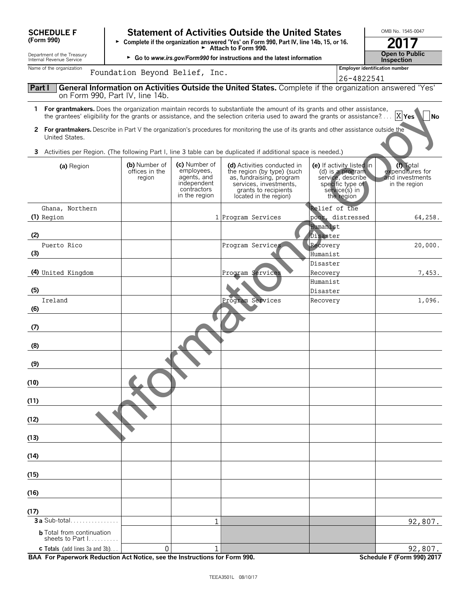| <b>SCHEDULE F</b><br>(Form 990)                                        |                                           |                                                                                           | <b>Statement of Activities Outside the United States</b><br>> Complete if the organization answered 'Yes' on Form 990, Part IV, line 14b, 15, or 16.                                                                                                                  |                                                                                                                       | OMB No. 1545-0047                                                 |  |  |  |  |  |  |
|------------------------------------------------------------------------|-------------------------------------------|-------------------------------------------------------------------------------------------|-----------------------------------------------------------------------------------------------------------------------------------------------------------------------------------------------------------------------------------------------------------------------|-----------------------------------------------------------------------------------------------------------------------|-------------------------------------------------------------------|--|--|--|--|--|--|
| Department of the Treasury                                             |                                           | $\blacktriangleright$ Attach to Form 990.                                                 |                                                                                                                                                                                                                                                                       |                                                                                                                       |                                                                   |  |  |  |  |  |  |
| Internal Revenue Service                                               |                                           |                                                                                           | ► Go to www.irs.gov/Form990 for instructions and the latest information                                                                                                                                                                                               |                                                                                                                       | <b>Open to Public</b><br><b>Inspection</b>                        |  |  |  |  |  |  |
| Name of the organization                                               | Foundation Beyond Belief, Inc.            |                                                                                           |                                                                                                                                                                                                                                                                       | 26-4822541                                                                                                            | <b>Employer identification number</b>                             |  |  |  |  |  |  |
| Part I                                                                 | on Form 990, Part IV, line 14b.           |                                                                                           | General Information on Activities Outside the United States. Complete if the organization answered 'Yes'                                                                                                                                                              |                                                                                                                       |                                                                   |  |  |  |  |  |  |
|                                                                        |                                           |                                                                                           | 1 For grantmakers. Does the organization maintain records to substantiate the amount of its grants and other assistance,<br>the grantees' eligibility for the grants or assistance, and the selection criteria used to award the grants or assistance? $\ldots$ X Yes |                                                                                                                       | N <sub>o</sub>                                                    |  |  |  |  |  |  |
| United States.                                                         |                                           |                                                                                           | 2 For grantmakers. Describe in Part V the organization's procedures for monitoring the use of its grants and other assistance outside the                                                                                                                             |                                                                                                                       |                                                                   |  |  |  |  |  |  |
|                                                                        |                                           |                                                                                           | 3 Activities per Region. (The following Part I, line 3 table can be duplicated if additional space is needed.)                                                                                                                                                        |                                                                                                                       |                                                                   |  |  |  |  |  |  |
| (a) Region                                                             | (b) Number of<br>offices in the<br>region | (c) Number of<br>employees,<br>agents, and<br>independent<br>contractors<br>in the region | (d) Activities conducted in<br>the region (by type) (such<br>as, fundraising, program<br>services, investments,<br>grants to recipients<br>located in the region)                                                                                                     | (e) If activity listed in<br>(d) is a program<br>service, describe<br>specific type of<br>service(s) in<br>the region | (f) Total<br>expenditures for<br>and investments<br>in the region |  |  |  |  |  |  |
| Ghana, Northern                                                        |                                           |                                                                                           |                                                                                                                                                                                                                                                                       | Relief of the                                                                                                         |                                                                   |  |  |  |  |  |  |
| $(1)$ Region                                                           |                                           |                                                                                           | 1 Program Services                                                                                                                                                                                                                                                    | poor, distressed<br>Humanist                                                                                          | 64,258.                                                           |  |  |  |  |  |  |
| (2)                                                                    |                                           |                                                                                           |                                                                                                                                                                                                                                                                       | Disaster                                                                                                              |                                                                   |  |  |  |  |  |  |
| Puerto Rico                                                            |                                           |                                                                                           | Program Services                                                                                                                                                                                                                                                      | Recovery                                                                                                              | 20,000.                                                           |  |  |  |  |  |  |
| (3)                                                                    |                                           |                                                                                           |                                                                                                                                                                                                                                                                       | Humanist                                                                                                              |                                                                   |  |  |  |  |  |  |
| (4) United Kingdom                                                     |                                           |                                                                                           |                                                                                                                                                                                                                                                                       | Disaster                                                                                                              | 7,453.                                                            |  |  |  |  |  |  |
|                                                                        |                                           |                                                                                           | Program Services                                                                                                                                                                                                                                                      | Recovery<br>Humanist                                                                                                  |                                                                   |  |  |  |  |  |  |
| (5)                                                                    |                                           |                                                                                           |                                                                                                                                                                                                                                                                       | Disaster                                                                                                              |                                                                   |  |  |  |  |  |  |
| Ireland<br>(6)                                                         |                                           |                                                                                           | Program Services                                                                                                                                                                                                                                                      | Recovery                                                                                                              | 1,096.                                                            |  |  |  |  |  |  |
|                                                                        |                                           |                                                                                           |                                                                                                                                                                                                                                                                       |                                                                                                                       |                                                                   |  |  |  |  |  |  |
| (7)                                                                    |                                           |                                                                                           |                                                                                                                                                                                                                                                                       |                                                                                                                       |                                                                   |  |  |  |  |  |  |
| (8)                                                                    |                                           |                                                                                           |                                                                                                                                                                                                                                                                       |                                                                                                                       |                                                                   |  |  |  |  |  |  |
| (9)                                                                    |                                           |                                                                                           |                                                                                                                                                                                                                                                                       |                                                                                                                       |                                                                   |  |  |  |  |  |  |
| (10)                                                                   |                                           |                                                                                           |                                                                                                                                                                                                                                                                       |                                                                                                                       |                                                                   |  |  |  |  |  |  |
| (11)                                                                   |                                           |                                                                                           |                                                                                                                                                                                                                                                                       |                                                                                                                       |                                                                   |  |  |  |  |  |  |
| (12)                                                                   |                                           |                                                                                           |                                                                                                                                                                                                                                                                       |                                                                                                                       |                                                                   |  |  |  |  |  |  |
| (13)                                                                   |                                           |                                                                                           |                                                                                                                                                                                                                                                                       |                                                                                                                       |                                                                   |  |  |  |  |  |  |
| (14)                                                                   |                                           |                                                                                           |                                                                                                                                                                                                                                                                       |                                                                                                                       |                                                                   |  |  |  |  |  |  |
|                                                                        |                                           |                                                                                           |                                                                                                                                                                                                                                                                       |                                                                                                                       |                                                                   |  |  |  |  |  |  |
| (15)                                                                   |                                           |                                                                                           |                                                                                                                                                                                                                                                                       |                                                                                                                       |                                                                   |  |  |  |  |  |  |
| (16)                                                                   |                                           |                                                                                           |                                                                                                                                                                                                                                                                       |                                                                                                                       |                                                                   |  |  |  |  |  |  |
| (17)                                                                   |                                           |                                                                                           |                                                                                                                                                                                                                                                                       |                                                                                                                       |                                                                   |  |  |  |  |  |  |
| 3 a Sub-total                                                          |                                           | 1                                                                                         |                                                                                                                                                                                                                                                                       |                                                                                                                       | 92,807.                                                           |  |  |  |  |  |  |
| <b>b</b> Total from continuation<br>sheets to Part $1, \ldots, \ldots$ |                                           |                                                                                           |                                                                                                                                                                                                                                                                       |                                                                                                                       |                                                                   |  |  |  |  |  |  |
| c Totals (add lines 3a and 3b)                                         | 0                                         | $\mathbf 1$                                                                               |                                                                                                                                                                                                                                                                       |                                                                                                                       | 92,807.                                                           |  |  |  |  |  |  |

BAA For Paperwork Reduction Act Notice, see the Instructions for Form 990.

Schedule F (Form 990) 2017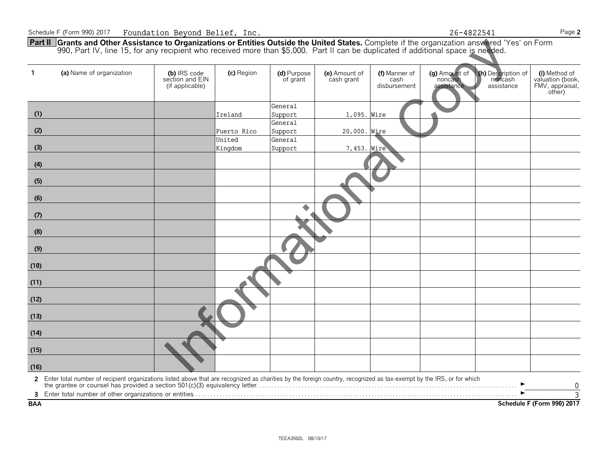26-4822541

◥

Page 2

**Part II** Grants and Other Assistance to Organizations or Entities Outside the United States. Complete if the organization answered 'Yes' on Form 990, Part IV, line 15, for any recipient who received more than \$5,000. Part

| -1         | (a) Name of organization                                                                                                                                                                                                          | (b) IRS code<br>section and EIN<br>(if applicable) | (c) Region  | (d) Purpose<br>of grant | (e) Amount of<br>cash grant | (f) Manner of<br>cash<br>disbursement | (g) Amount of<br>noncash<br>assistance | (h) Description of<br>noncash<br>assistance | (i) Method of<br>valuation (book,<br>FMV, appraisal,<br>other) |
|------------|-----------------------------------------------------------------------------------------------------------------------------------------------------------------------------------------------------------------------------------|----------------------------------------------------|-------------|-------------------------|-----------------------------|---------------------------------------|----------------------------------------|---------------------------------------------|----------------------------------------------------------------|
|            |                                                                                                                                                                                                                                   |                                                    |             | General                 |                             |                                       |                                        |                                             |                                                                |
| (1)        |                                                                                                                                                                                                                                   |                                                    | Ireland     | Support                 | 1,095. Wire                 |                                       |                                        |                                             |                                                                |
|            |                                                                                                                                                                                                                                   |                                                    |             | General                 |                             |                                       |                                        |                                             |                                                                |
| (2)        |                                                                                                                                                                                                                                   |                                                    | Puerto Rico | Support                 | 20,000. Wire                |                                       |                                        |                                             |                                                                |
|            |                                                                                                                                                                                                                                   |                                                    | United      | General                 |                             |                                       |                                        |                                             |                                                                |
| (3)        |                                                                                                                                                                                                                                   |                                                    | Kingdom     | Support                 | 7,453. Wire                 |                                       |                                        |                                             |                                                                |
| (4)        |                                                                                                                                                                                                                                   |                                                    |             |                         |                             |                                       |                                        |                                             |                                                                |
|            |                                                                                                                                                                                                                                   |                                                    |             |                         |                             |                                       |                                        |                                             |                                                                |
| (5)        |                                                                                                                                                                                                                                   |                                                    |             |                         |                             |                                       |                                        |                                             |                                                                |
| (6)        |                                                                                                                                                                                                                                   |                                                    |             |                         |                             |                                       |                                        |                                             |                                                                |
| (7)        |                                                                                                                                                                                                                                   |                                                    |             |                         |                             |                                       |                                        |                                             |                                                                |
| (8)        |                                                                                                                                                                                                                                   |                                                    |             |                         |                             |                                       |                                        |                                             |                                                                |
| (9)        |                                                                                                                                                                                                                                   |                                                    |             |                         |                             |                                       |                                        |                                             |                                                                |
| (10)       |                                                                                                                                                                                                                                   |                                                    |             |                         |                             |                                       |                                        |                                             |                                                                |
| (11)       |                                                                                                                                                                                                                                   |                                                    |             |                         |                             |                                       |                                        |                                             |                                                                |
| (12)       |                                                                                                                                                                                                                                   |                                                    |             |                         |                             |                                       |                                        |                                             |                                                                |
| (13)       |                                                                                                                                                                                                                                   |                                                    |             |                         |                             |                                       |                                        |                                             |                                                                |
| (14)       |                                                                                                                                                                                                                                   |                                                    |             |                         |                             |                                       |                                        |                                             |                                                                |
| (15)       |                                                                                                                                                                                                                                   |                                                    |             |                         |                             |                                       |                                        |                                             |                                                                |
| (16)       |                                                                                                                                                                                                                                   |                                                    |             |                         |                             |                                       |                                        |                                             |                                                                |
|            | 2 Enter total number of recipient organizations listed above that are recognized as charities by the foreign country, recognized as tax-exempt by the IRS, or for which<br>the grantee or counsel has provided a section 501(c)(3 |                                                    |             |                         |                             |                                       |                                        |                                             | 0                                                              |
|            |                                                                                                                                                                                                                                   |                                                    |             |                         |                             |                                       |                                        |                                             | $\overline{3}$                                                 |
| <b>BAA</b> |                                                                                                                                                                                                                                   |                                                    |             |                         |                             |                                       |                                        |                                             | Schedule F (Form 990) 2017                                     |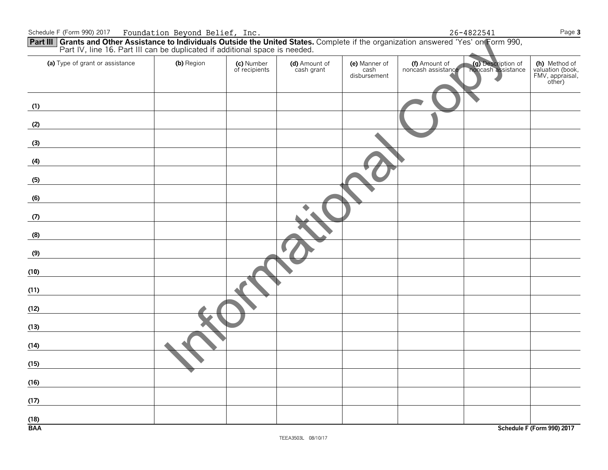| Part TV, first To. Part III can be duplicated if additional space is needed. |            |                             |                             |                                       |                                     |                                          |                                                                |
|------------------------------------------------------------------------------|------------|-----------------------------|-----------------------------|---------------------------------------|-------------------------------------|------------------------------------------|----------------------------------------------------------------|
| (a) Type of grant or assistance                                              | (b) Region | (c) Number<br>of recipients | (d) Amount of<br>cash grant | (e) Manner of<br>cash<br>disbursement | (f) Amount of<br>noncash assistance | (g) Description of<br>noncash assistance | (h) Method of<br>valuation (book,<br>FMV, appraisal,<br>other) |
| (1)                                                                          |            |                             |                             |                                       |                                     |                                          |                                                                |
| (2)                                                                          |            |                             |                             |                                       |                                     |                                          |                                                                |
| (3)                                                                          |            |                             |                             |                                       |                                     |                                          |                                                                |
| (4)                                                                          |            |                             |                             |                                       |                                     |                                          |                                                                |
| (5)                                                                          |            |                             |                             |                                       |                                     |                                          |                                                                |
| (6)                                                                          |            |                             |                             |                                       |                                     |                                          |                                                                |
| (7)                                                                          |            |                             |                             |                                       |                                     |                                          |                                                                |
| (8)                                                                          |            |                             |                             |                                       |                                     |                                          |                                                                |
| (9)                                                                          |            |                             |                             |                                       |                                     |                                          |                                                                |
| (10)                                                                         |            |                             |                             |                                       |                                     |                                          |                                                                |
| (11)                                                                         |            |                             |                             |                                       |                                     |                                          |                                                                |
| (12)                                                                         |            |                             |                             |                                       |                                     |                                          |                                                                |
| (13)                                                                         |            |                             |                             |                                       |                                     |                                          |                                                                |
| (14)                                                                         |            |                             |                             |                                       |                                     |                                          |                                                                |
| (15)                                                                         |            |                             |                             |                                       |                                     |                                          |                                                                |
| (16)                                                                         |            |                             |                             |                                       |                                     |                                          |                                                                |
| (17)                                                                         |            |                             |                             |                                       |                                     |                                          |                                                                |
| (18)                                                                         |            |                             |                             |                                       |                                     |                                          |                                                                |
| <b>BAA</b>                                                                   |            |                             |                             |                                       |                                     |                                          | Schedule F (Form 990) 2017                                     |

26-4822541

Page 3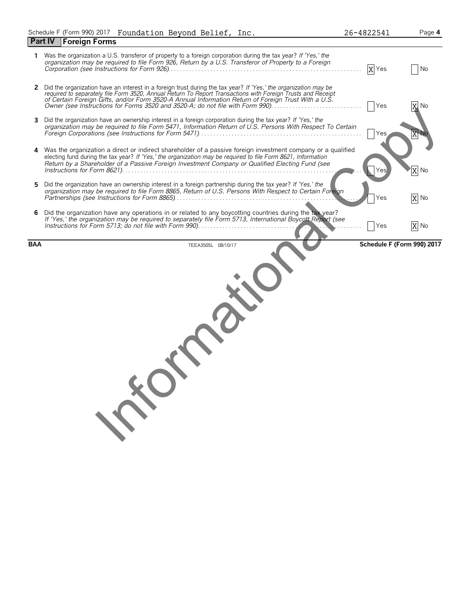| Schedule F (Form 990) 2017 Foundation Beyond Belief, Inc. |  |  |  |  |  |
|-----------------------------------------------------------|--|--|--|--|--|
|-----------------------------------------------------------|--|--|--|--|--|

|   | rodnaacron beyond berrer,                                                                                                                                                                                                                                                                                                                                                                                               |                    |      |
|---|-------------------------------------------------------------------------------------------------------------------------------------------------------------------------------------------------------------------------------------------------------------------------------------------------------------------------------------------------------------------------------------------------------------------------|--------------------|------|
|   | <b>Foreign Forms</b><br><b>Part IV</b>                                                                                                                                                                                                                                                                                                                                                                                  |                    |      |
| 1 | Was the organization a U.S. transferor of property to a foreign corporation during the tax year? If 'Yes,' the<br>organization may be required to file Form 926, Return by a U.S. Transferor of Property to a Foreign                                                                                                                                                                                                   | $\overline{X}$ Yes | No   |
| 2 | Did the organization have an interest in a foreign trust during the tax year? If 'Yes,' the organization may be<br>required to separately file Form 3520, Annual Return To Report Transactions with Foreign Trusts and Receipt<br>of Certain Foreign Gifts, and/or Form 3520-A Annual Information Return of Foreign Trust With a U.S.<br>Owner (see Instructions for Forms 3520 and 3520-A; do not file with Form 990). | Yes                | X No |
| 3 | Did the organization have an ownership interest in a foreign corporation during the tax year? If 'Yes,' the<br>organization may be required to file Form 5471, Information Return of U.S. Persons With Respect To Certain                                                                                                                                                                                               | Yes                |      |
|   | Was the organization a direct or indirect shareholder of a passive foreign investment company or a qualified<br>electing fund during the tax year? If 'Yes,' the organization may be required to file Form 8621, Information<br>Return by a Shareholder of a Passive Foreign Investment Company or Qualified Electing Fund (see                                                                                         |                    | X No |
| 5 | Did the organization have an ownership interest in a foreign partnership during the tax year? If 'Yes,' the<br>organization may be required to file Form 8865, Return of U.S. Persons With Respect to Certain Foreign                                                                                                                                                                                                   | Yes                | X No |
| 6 | Did the organization have any operations in or related to any boycotting countries during the tax year?<br>If 'Yes,' the organization may be required to separately file Form 5713, International Boycott Report (see<br>Instructions for Form 5713; do not file with Form 990).                                                                                                                                        | Yes                | X No |
|   |                                                                                                                                                                                                                                                                                                                                                                                                                         |                    |      |
|   |                                                                                                                                                                                                                                                                                                                                                                                                                         |                    |      |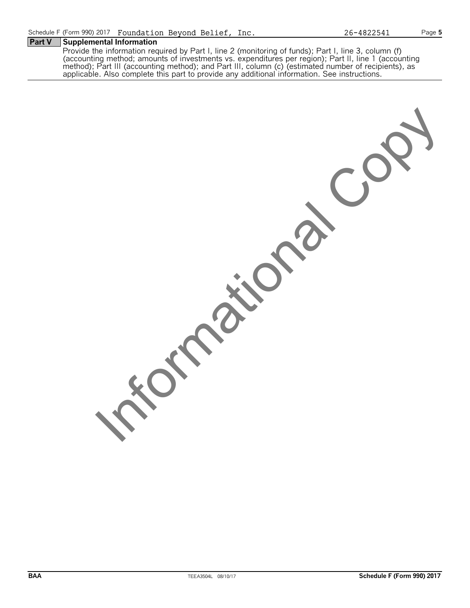Provide the information required by Part I, line 2 (monitoring of funds); Part I, line 3, column (f) (accounting method; amounts of investments vs. expenditures per region); Part II, line 1 (accounting method); Part III (a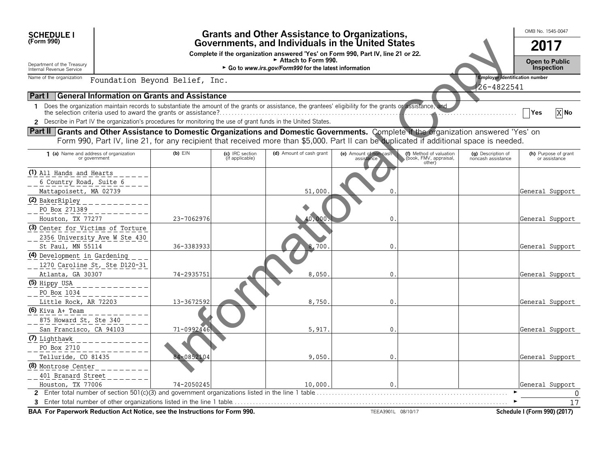| <b>SCHEDULE I</b>                                                                                                                                                          | <b>Grants and Other Assistance to Organizations,</b>                                                                                                              |                                                     |                                    |                                                                                                                                         |                                      |                                                             |                                                     | OMB No. 1545-0047                     |  |  |
|----------------------------------------------------------------------------------------------------------------------------------------------------------------------------|-------------------------------------------------------------------------------------------------------------------------------------------------------------------|-----------------------------------------------------|------------------------------------|-----------------------------------------------------------------------------------------------------------------------------------------|--------------------------------------|-------------------------------------------------------------|-----------------------------------------------------|---------------------------------------|--|--|
| (Form 990)                                                                                                                                                                 |                                                                                                                                                                   |                                                     |                                    | Governments, and Individuals in the United States                                                                                       |                                      |                                                             |                                                     | 2017                                  |  |  |
| Department of the Treasury<br>Internal Revenue Service                                                                                                                     | Complete if the organization answered 'Yes' on Form 990, Part IV, line 21 or 22.<br>Attach to Form 990.<br>► Go to www.irs.gov/Form990 for the latest information |                                                     |                                    |                                                                                                                                         |                                      |                                                             |                                                     |                                       |  |  |
| Name of the organization                                                                                                                                                   |                                                                                                                                                                   | Foundation Beyond Belief, Inc.                      |                                    |                                                                                                                                         |                                      |                                                             | <b>Employer identification number</b><br>26-4822541 |                                       |  |  |
| <b>Part I</b>                                                                                                                                                              |                                                                                                                                                                   | <b>General Information on Grants and Assistance</b> |                                    |                                                                                                                                         |                                      |                                                             |                                                     |                                       |  |  |
| Does the organization maintain records to substantiate the amount of the grants or assistance, the grantees' eligibility for the grants or assistance, and<br>$\mathbf{1}$ |                                                                                                                                                                   |                                                     |                                    |                                                                                                                                         |                                      |                                                             |                                                     | X No<br>Yes                           |  |  |
| 2 Describe in Part IV the organization's procedures for monitoring the use of grant funds in the United States.                                                            |                                                                                                                                                                   |                                                     |                                    |                                                                                                                                         |                                      |                                                             |                                                     |                                       |  |  |
| Part II Grants and Other Assistance to Domestic Organizations and Domestic Governments. Complete if the organization answered 'Yes' on                                     |                                                                                                                                                                   |                                                     |                                    | Form 990, Part IV, line 21, for any recipient that received more than \$5,000. Part II can be duplicated if additional space is needed. |                                      |                                                             |                                                     |                                       |  |  |
| 1 (a) Name and address of organization<br>or government                                                                                                                    |                                                                                                                                                                   | $(b)$ $E$ IN                                        | (c) IRC section<br>(if applicable) | (d) Amount of cash grant                                                                                                                | (e) Amount of non-cash<br>assistance | (f) Method of valuation<br>(book, FMV, appraisal,<br>other) | (g) Description of<br>noncash assistance            | (h) Purpose of grant<br>or assistance |  |  |
| (1) All Hands and Hearts                                                                                                                                                   |                                                                                                                                                                   |                                                     |                                    |                                                                                                                                         |                                      |                                                             |                                                     |                                       |  |  |
| 6 Country Road, Suite 6                                                                                                                                                    |                                                                                                                                                                   |                                                     |                                    |                                                                                                                                         |                                      |                                                             |                                                     |                                       |  |  |
| Mattapoisett, MA 02739                                                                                                                                                     |                                                                                                                                                                   |                                                     |                                    | 51,000                                                                                                                                  |                                      |                                                             |                                                     | General Support                       |  |  |
| (2) BakerRipley<br>PO Box 271389<br>Houston, TX 77277                                                                                                                      |                                                                                                                                                                   | 23-7062976                                          |                                    | $40^\circ$<br>,000                                                                                                                      | 0                                    |                                                             |                                                     | General Support                       |  |  |
| (3) Center for Victims of Torture                                                                                                                                          |                                                                                                                                                                   |                                                     |                                    |                                                                                                                                         |                                      |                                                             |                                                     |                                       |  |  |
| 2356 University Ave W Ste 430<br>St Paul, MN 55114                                                                                                                         |                                                                                                                                                                   | 36-3383933                                          |                                    | 700<br>8                                                                                                                                | $\mathbf 0$ .                        |                                                             |                                                     | General Support                       |  |  |
| (4) Development in Gardening<br>1270 Caroline St, Ste D120-31                                                                                                              |                                                                                                                                                                   |                                                     |                                    |                                                                                                                                         |                                      |                                                             |                                                     |                                       |  |  |
| Atlanta, GA 30307                                                                                                                                                          |                                                                                                                                                                   | 74-2935751                                          |                                    | 8,050                                                                                                                                   | 0.                                   |                                                             |                                                     | General Support                       |  |  |
| (5) Hippy USA<br>PO Box 1034                                                                                                                                               |                                                                                                                                                                   |                                                     |                                    |                                                                                                                                         |                                      |                                                             |                                                     |                                       |  |  |
| Little Rock, AR 72203                                                                                                                                                      |                                                                                                                                                                   | 13-3672592                                          |                                    | 8,750                                                                                                                                   | $\mathbf{0}$ .                       |                                                             |                                                     | General Support                       |  |  |
| $(6)$ Kiva A+ Team<br>875 Howard St, Ste 340<br>San Francisco, CA 94103                                                                                                    |                                                                                                                                                                   | 71-0992446                                          |                                    | 5,917.                                                                                                                                  | 0.                                   |                                                             |                                                     | General Support                       |  |  |
| (7) Lighthawk                                                                                                                                                              |                                                                                                                                                                   |                                                     |                                    |                                                                                                                                         |                                      |                                                             |                                                     |                                       |  |  |
| PO Box 2710<br>Telluride, CO 81435                                                                                                                                         |                                                                                                                                                                   | 84-0852104                                          |                                    | 9,050                                                                                                                                   | 0.                                   |                                                             |                                                     | General Support                       |  |  |
| (8) Montrose Center                                                                                                                                                        |                                                                                                                                                                   |                                                     |                                    |                                                                                                                                         |                                      |                                                             |                                                     |                                       |  |  |
| 401 Branard Street<br>Houston, TX 77006                                                                                                                                    |                                                                                                                                                                   | 74-2050245                                          |                                    | 10,000                                                                                                                                  | 0.                                   |                                                             |                                                     | General Support                       |  |  |
|                                                                                                                                                                            |                                                                                                                                                                   |                                                     |                                    |                                                                                                                                         |                                      |                                                             |                                                     |                                       |  |  |
|                                                                                                                                                                            |                                                                                                                                                                   |                                                     |                                    |                                                                                                                                         |                                      |                                                             |                                                     | 17                                    |  |  |
| BAA For Paperwork Reduction Act Notice, see the Instructions for Form 990.                                                                                                 |                                                                                                                                                                   |                                                     |                                    |                                                                                                                                         | TEEA3901L 08/10/17                   |                                                             |                                                     | Schedule I (Form 990) (2017)          |  |  |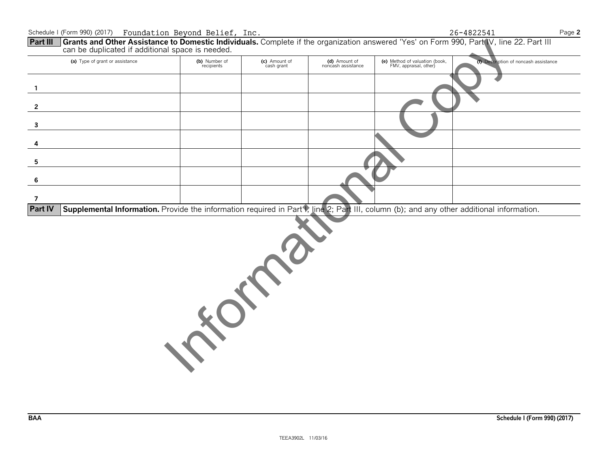### can be duplicated if additional space is needed. (e) Method of valuation (book,<br>FMV, appraisal, other) (c) Amount of<br>cash grant (a) Type of grant or assistance (b) Number of (d) Amount of (f) Description of noncash assistance recipients noncash assistance 1  $\overline{2}$  $\overline{\mathbf{3}}$  $\overline{4}$ 5 6  $\overline{7}$

Part III Grants and Other Assistance to Domestic Individuals. Complete if the organization answered 'Yes' on Form 990, Part IV, line 22. Part III

Supplemental Information. Provide the information required in Part V, line 2; Part III, column (b); and any other additional information. **Part IV** 



26-4822541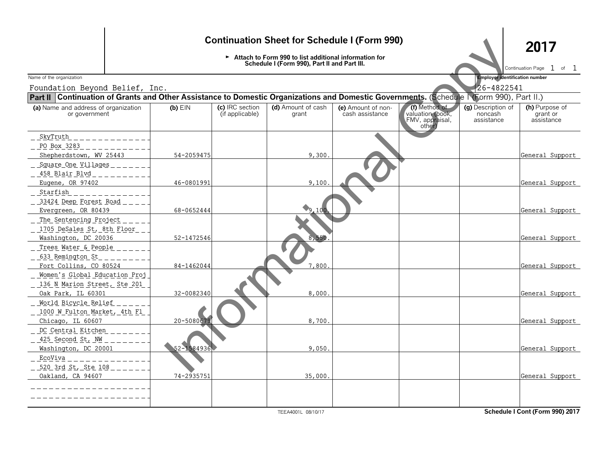## **Continuation Sheet for Schedule I (Form 990)**

► Attach to Form 990 to list additional information for<br>Schedule I (Form 990), Part II and Part III.

2017

Continuation Page 1 of 1

Employer identification number  $\mathbb{Z}$  .

Name of the organization

|                                                                                                                                           | 26-4822541<br>Foundation Beyond Belief, Inc. |                                    |                             |                                       |                                                                |                                             |                                          |  |  |
|-------------------------------------------------------------------------------------------------------------------------------------------|----------------------------------------------|------------------------------------|-----------------------------|---------------------------------------|----------------------------------------------------------------|---------------------------------------------|------------------------------------------|--|--|
| Part II Continuation of Grants and Other Assistance to Domestic Organizations and Domestic Governments. (Schedule 1 (Form 990), Part II.) |                                              |                                    |                             |                                       |                                                                |                                             |                                          |  |  |
| (a) Name and address of organization<br>or government                                                                                     | $(b)$ EIN                                    | (c) IRC section<br>(if applicable) | (d) Amount of cash<br>grant | (e) Amount of non-<br>cash assistance | (f) Method of<br>valuation (book,<br>FMV, appraisal,<br>other) | (g) Description of<br>noncash<br>assistance | (h) Purpose of<br>grant or<br>assistance |  |  |
| SkyTruth<br>PO Box 3283                                                                                                                   |                                              |                                    |                             |                                       |                                                                |                                             |                                          |  |  |
| Shepherdstown, WV 25443                                                                                                                   | 54-2059475                                   |                                    | 9,300.                      |                                       |                                                                |                                             | General Support                          |  |  |
| Square One Villages<br>458 Blair Blvd                                                                                                     |                                              |                                    |                             |                                       |                                                                |                                             |                                          |  |  |
| Eugene, OR 97402<br>_ Starfish                                                                                                            | 46-0801991                                   |                                    | 9,100                       |                                       |                                                                |                                             | General Support                          |  |  |
| 33424 Deep Forest Road                                                                                                                    |                                              |                                    |                             |                                       |                                                                |                                             |                                          |  |  |
| Evergreen, OR 80439<br>The Sentencing Project                                                                                             | 68-0652444                                   |                                    | 9.100                       |                                       |                                                                |                                             | General Support                          |  |  |
| 1705 DeSales St, 8th Floor                                                                                                                |                                              |                                    |                             |                                       |                                                                |                                             |                                          |  |  |
| Washington, DC 20036                                                                                                                      | 52-1472546                                   |                                    | 8.550                       |                                       |                                                                |                                             | General Support                          |  |  |
| Trees Water & People<br>633 Remington St                                                                                                  |                                              |                                    |                             |                                       |                                                                |                                             |                                          |  |  |
| Fort Collins, CO 80524                                                                                                                    | 84-1462044                                   |                                    | 7,800                       |                                       |                                                                |                                             | General Support                          |  |  |
| Women's Global Education Proj<br>136 N Marion Street, Ste 201                                                                             |                                              |                                    |                             |                                       |                                                                |                                             |                                          |  |  |
| Oak Park, IL 60301                                                                                                                        | 32-0082340                                   |                                    | 8,000.                      |                                       |                                                                |                                             | General Support                          |  |  |
| World Bicycle Relief<br>1000 W Fulton Market, 4th Fl                                                                                      |                                              |                                    |                             |                                       |                                                                |                                             |                                          |  |  |
| Chicago, IL 60607                                                                                                                         | 20-5080679                                   |                                    | 8,700.                      |                                       |                                                                |                                             | General Support                          |  |  |
| DC Central Kitchen<br>425 Second St, NW                                                                                                   |                                              |                                    |                             |                                       |                                                                |                                             |                                          |  |  |
| Washington, DC 20001                                                                                                                      | 52-1584936                                   |                                    | 9,050.                      |                                       |                                                                |                                             | General Support                          |  |  |
| _ EcoViva _<br>520 3rd St, Ste 108                                                                                                        |                                              |                                    |                             |                                       |                                                                |                                             |                                          |  |  |
| Oakland, CA 94607                                                                                                                         | 74-2935751                                   |                                    | 35,000.                     |                                       |                                                                |                                             | General Support                          |  |  |
|                                                                                                                                           |                                              |                                    |                             |                                       |                                                                |                                             |                                          |  |  |

TEEA4001L 08/10/17